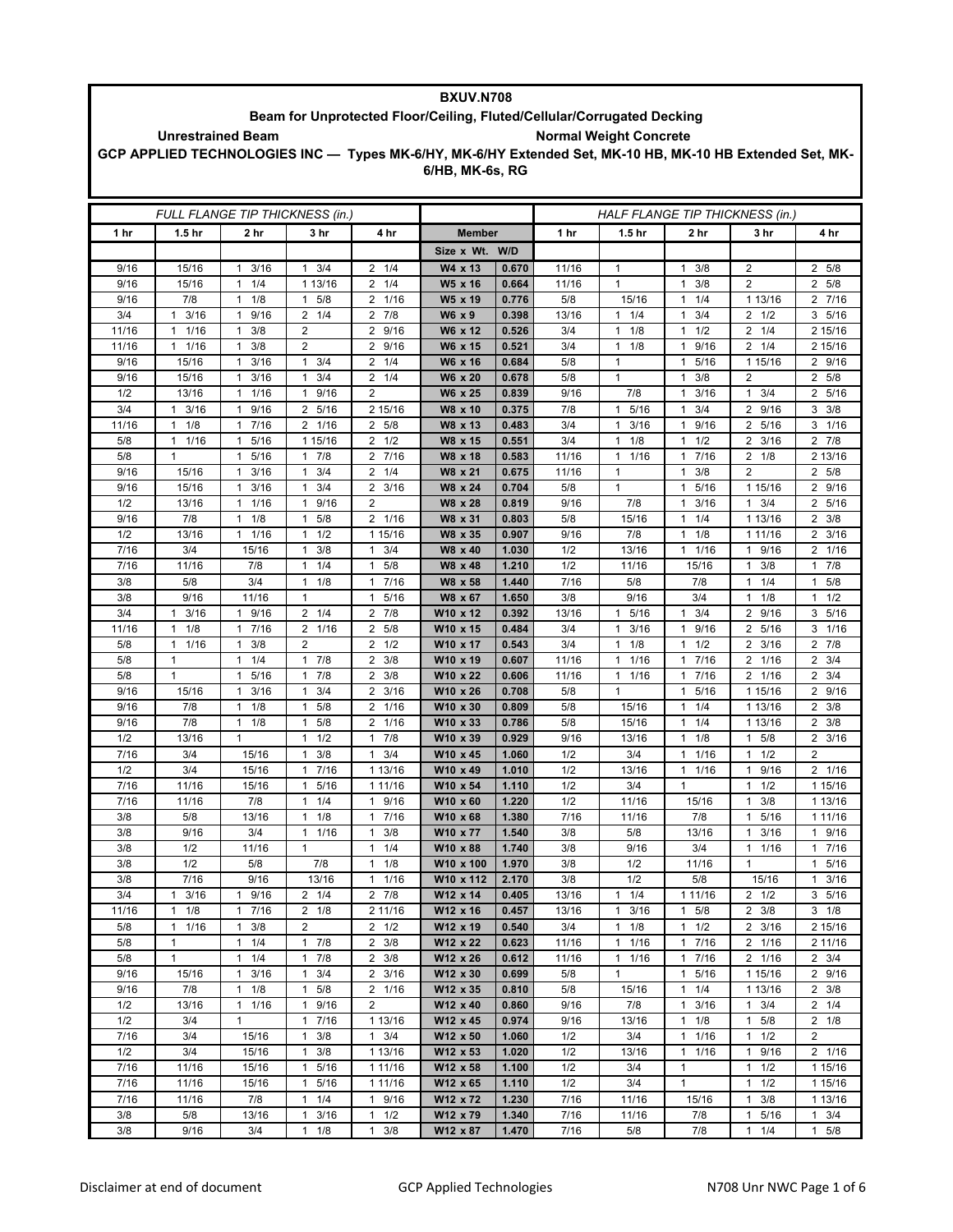| <b>BXUV.N708</b>                                                                                                                    |                                                                                                          |                                              |                                  |                                             |                      |                |              |                                   |                                             |                                     |                           |  |
|-------------------------------------------------------------------------------------------------------------------------------------|----------------------------------------------------------------------------------------------------------|----------------------------------------------|----------------------------------|---------------------------------------------|----------------------|----------------|--------------|-----------------------------------|---------------------------------------------|-------------------------------------|---------------------------|--|
| Beam for Unprotected Floor/Ceiling, Fluted/Cellular/Corrugated Decking<br><b>Normal Weight Concrete</b><br><b>Unrestrained Beam</b> |                                                                                                          |                                              |                                  |                                             |                      |                |              |                                   |                                             |                                     |                           |  |
|                                                                                                                                     | GCP APPLIED TECHNOLOGIES INC - Types MK-6/HY, MK-6/HY Extended Set, MK-10 HB, MK-10 HB Extended Set, MK- |                                              |                                  |                                             |                      |                |              |                                   |                                             |                                     |                           |  |
|                                                                                                                                     |                                                                                                          |                                              |                                  |                                             | 6/HB, MK-6s, RG      |                |              |                                   |                                             |                                     |                           |  |
|                                                                                                                                     |                                                                                                          |                                              |                                  |                                             |                      |                |              |                                   |                                             |                                     |                           |  |
|                                                                                                                                     |                                                                                                          |                                              |                                  |                                             |                      |                |              |                                   |                                             |                                     |                           |  |
|                                                                                                                                     |                                                                                                          |                                              | FULL FLANGE TIP THICKNESS (in.)  |                                             |                      |                |              | HALF FLANGE TIP THICKNESS (in.)   |                                             |                                     |                           |  |
| 1 hr                                                                                                                                | 1.5 <sub>hr</sub>                                                                                        | 2 hr                                         | 3 hr                             | 4 hr                                        | <b>Member</b>        |                | 1 hr         | 1.5 <sub>hr</sub>                 | 2 hr                                        | 3 hr                                | 4 hr                      |  |
|                                                                                                                                     |                                                                                                          |                                              |                                  |                                             | Size x Wt.           | W/D            |              |                                   |                                             |                                     |                           |  |
| 9/16                                                                                                                                | 15/16                                                                                                    | 3/16<br>1                                    | 3/4<br>1                         | 1/4<br>2<br>1/4                             | W4 x 13              | 0.670          | 11/16        | $\mathbf{1}$<br>$\mathbf{1}$      | 3/8<br>$\mathbf{1}$<br>$\mathbf{1}$         | $\overline{2}$<br>$\overline{2}$    | 5/8<br>$\overline{2}$     |  |
| 9/16<br>9/16                                                                                                                        | 15/16<br>7/8                                                                                             | 1/4<br>$\mathbf{1}$<br>1/8<br>$\mathbf{1}$   | 1 13/16<br>5/8<br>1              | 2<br>2 1/16                                 | W5 x 16<br>W5 x 19   | 0.664<br>0.776 | 11/16<br>5/8 | 15/16                             | 3/8<br>1/4<br>$\mathbf{1}$                  | 1 13/16                             | 2 5/8<br>2 7/16           |  |
| 3/4                                                                                                                                 | 3/16<br>$\mathbf{1}$                                                                                     | 9/16<br>1                                    | $2 \t1/4$                        | 7/8<br>2                                    | W6 x 9               | 0.398          | 13/16        | 1/4<br>1                          | 3/4<br>$\mathbf{1}$                         | 2<br>1/2                            | 3 5/16                    |  |
| 11/16                                                                                                                               | 1/16<br>$\mathbf{1}$                                                                                     | 3/8<br>$\mathbf{1}$                          | 2                                | $\overline{2}$<br>9/16                      | W6 x 12              | 0.526          | 3/4          | $1 \t1/8$                         | 1/2<br>$\mathbf{1}$                         | $2 \t1/4$                           | 2 15/16                   |  |
| 11/16                                                                                                                               | 11/16                                                                                                    | $1 \t3/8$                                    | 2                                | $\overline{2}$<br>9/16                      | W6 x 15              | 0.521          | 3/4          | $1 \t1/8$                         | 9/16<br>$\mathbf{1}$                        | $2 \t1/4$                           | 2 15/16                   |  |
| 9/16                                                                                                                                | 15/16                                                                                                    | 3/16<br>$\mathbf{1}$                         | 3/4<br>1                         | 2<br>1/4                                    | W6 x 16              | 0.684          | 5/8          | $\mathbf{1}$                      | 5/16<br>$\mathbf{1}$                        | 1 15/16                             | 2 9/16                    |  |
| 9/16                                                                                                                                | 15/16                                                                                                    | 3/16<br>1                                    | 3/4<br>$\mathbf{1}$              | $\overline{2}$<br>1/4                       | W6 x 20              | 0.678          | 5/8          | $\mathbf{1}$                      | 3/8<br>$\mathbf{1}$                         | $\overline{2}$                      | 2 5/8                     |  |
| 1/2                                                                                                                                 | 13/16                                                                                                    | 11/16                                        | 1 9/16                           | 2                                           | W6 x 25              | 0.839          | 9/16         | 7/8                               | 3/16<br>$\mathbf{1}$                        | $1 \t3/4$                           | 2 5/16                    |  |
| 3/4<br>11/16                                                                                                                        | 3/16<br>$\mathbf{1}$<br>1/8<br>$\mathbf{1}$                                                              | 9/16<br>$\mathbf{1}$<br>7/16<br>$\mathbf{1}$ | 2 5/16<br>2 1/16                 | 2 15/16<br>2 5/8                            | W8 x 10<br>W8 x 13   | 0.375<br>0.483 | 7/8<br>3/4   | 1<br>5/16<br>3/16<br>$\mathbf{1}$ | 3/4<br>$\mathbf{1}$<br>9/16<br>$\mathbf{1}$ | 2<br>9/16<br>$\overline{2}$<br>5/16 | 3/8<br>3<br>$3 \t1/16$    |  |
| 5/8                                                                                                                                 | $\mathbf{1}$<br>1/16                                                                                     | 5/16<br>$\mathbf{1}$                         | 1 15/16                          | $2 \frac{1}{2}$                             | W8 x 15              | 0.551          | 3/4          | 1/8<br>$\mathbf{1}$               | 1/2<br>$\mathbf{1}$                         | $\overline{2}$<br>3/16              | $2 \t7/8$                 |  |
| 5/8                                                                                                                                 | $\mathbf{1}$                                                                                             | 5/16<br>$\mathbf{1}$                         | $1 \t7/8$                        | 7/16<br>2                                   | W8 x 18              | 0.583          | 11/16        | 1/16<br>$\mathbf{1}$              | 7/16<br>$\mathbf{1}$                        | $\overline{2}$<br>1/8               | 2 13/16                   |  |
| 9/16                                                                                                                                | 15/16                                                                                                    | 3/16<br>1                                    | 3/4<br>1                         | $\overline{2}$<br>1/4                       | W8 x 21              | 0.675          | 11/16        | $\mathbf{1}$                      | 3/8<br>$\mathbf{1}$                         | $\overline{2}$                      | 2 5/8                     |  |
| 9/16                                                                                                                                | 15/16                                                                                                    | 3/16<br>$\mathbf{1}$                         | 3/4<br>$\mathbf{1}$              | $\overline{2}$<br>3/16                      | W8 x 24              | 0.704          | 5/8          | $\mathbf{1}$                      | 5/16<br>$\mathbf{1}$                        | 1 15/16                             | 2 9/16                    |  |
| 1/2                                                                                                                                 | 13/16                                                                                                    | 1/16<br>$\mathbf{1}$                         | 9/16<br>1                        | 2                                           | W8 x 28              | 0.819          | 9/16         | 7/8                               | 3/16<br>$\mathbf{1}$                        | $1 \t3/4$                           | 2 5/16                    |  |
| 9/16                                                                                                                                | 7/8                                                                                                      | 1/8<br>1                                     | 5/8<br>1                         | 2 1/16                                      | W8 x 31              | 0.803          | 5/8          | 15/16                             | 1/4<br>$\mathbf{1}$                         | 1 13/16                             | 3/8<br>$\overline{2}$     |  |
| 1/2                                                                                                                                 | 13/16                                                                                                    | 11/16                                        | 1/2<br>1                         | 1 15/16                                     | W8 x 35              | 0.907          | 9/16         | 7/8                               | $\mathbf{1}$<br>1/8                         | 1 11/16                             | $2 \frac{3}{16}$          |  |
| 7/16<br>7/16                                                                                                                        | 3/4<br>11/16                                                                                             | 15/16<br>7/8                                 | 3/8<br>1<br>1/4<br>$\mathbf{1}$  | 3/4<br>$\mathbf{1}$<br>5/8<br>$\mathbf{1}$  | W8 x 40<br>W8 x 48   | 1.030<br>1.210 | 1/2<br>1/2   | 13/16<br>11/16                    | 1/16<br>$\mathbf{1}$<br>15/16               | 9/16<br>1<br>3/8<br>1               | 2 1/16<br>7/8<br>1        |  |
| 3/8                                                                                                                                 | 5/8                                                                                                      | 3/4                                          | $1 \t1/8$                        | $\mathbf{1}$<br>7/16                        | W8 x 58              | 1.440          | 7/16         | 5/8                               | 7/8                                         | $\mathbf{1}$<br>1/4                 | 5/8<br>1                  |  |
| 3/8                                                                                                                                 | 9/16                                                                                                     | 11/16                                        | $\mathbf{1}$                     | 5/16<br>$\mathbf{1}$                        | W8 x 67              | 1.650          | 3/8          | 9/16                              | 3/4                                         | 1/8<br>1                            | 1/2<br>1                  |  |
| 3/4                                                                                                                                 | 3/16<br>$\mathbf{1}$                                                                                     | 1 9/16                                       | $2 \t1/4$                        | $2 \t 7/8$                                  | W10 x 12             | 0.392          | 13/16        | $\mathbf{1}$<br>5/16              | 3/4<br>$\mathbf{1}$                         | 9/16<br>2                           | 5/16<br>3                 |  |
| 11/16                                                                                                                               | $\mathbf{1}$<br>1/8                                                                                      | 7/16<br>$\mathbf{1}$                         | 2 1/16                           | 5/8<br>2                                    | W10 x 15             | 0.484          | 3/4          | $\mathbf{1}$<br>3/16              | $\mathbf{1}$<br>9/16                        | 2 5/16                              | 3 1/16                    |  |
| 5/8                                                                                                                                 | 1/16<br>$\mathbf{1}$                                                                                     | 3/8<br>1                                     | 2                                | $\overline{2}$<br>1/2                       | W10 x 17             | 0.543          | 3/4          | 1/8<br>1                          | 1/2<br>$\mathbf{1}$                         | 3/16<br>2                           | $2 \t 7/8$                |  |
| 5/8                                                                                                                                 | $\mathbf{1}$                                                                                             | 1/4<br>$\mathbf{1}$                          | 7/8<br>$\mathbf{1}$              | $\overline{2}$<br>3/8                       | W10 x 19             | 0.607          | 11/16        | 1/16<br>$\mathbf{1}$              | 7/16<br>$\mathbf{1}$                        | 1/16<br>2                           | 3/4<br>2                  |  |
| 5/8                                                                                                                                 | $\mathbf{1}$                                                                                             | 1 5/16                                       | 17/8                             | $\overline{2}$<br>3/8                       | W10 x 22             | 0.606          | 11/16        | $1 \t1/16$                        | 7/16<br>$\mathbf{1}$                        | 2 1/16                              | $2 \frac{3}{4}$           |  |
| 9/16<br>9/16                                                                                                                        | 15/16<br>7/8                                                                                             | 3/16<br>$\mathbf{1}$<br>1/8<br>1             | 3/4<br>1<br>5/8<br>1             | 3/16<br>2<br>1/16<br>2                      | W10 x 26<br>W10 x 30 | 0.708<br>0.809 | 5/8<br>5/8   | $\mathbf{1}$<br>15/16             | 5/16<br>$\mathbf{1}$<br>$\mathbf{1}$<br>1/4 | 1 15/16<br>1 13/16                  | 2 9/16<br>3/8<br>2        |  |
| 9/16                                                                                                                                | 7/8                                                                                                      | 1/8<br>$\mathbf{1}$                          | 5/8<br>1                         | 1/16<br>$\overline{2}$                      | W10 x 33             | 0.786          | 5/8          | 15/16                             | 1/4<br>$\mathbf{1}$                         | 1 13/16                             | $2 \frac{3}{8}$           |  |
| 1/2                                                                                                                                 | 13/16                                                                                                    | 1                                            | 1/2<br>1                         | 7/8<br>$\mathbf{1}$                         | W10 x 39             | 0.929          | 9/16         | 13/16                             | $1 \t1/8$                                   | $1 \t5/8$                           | $2 \frac{3}{16}$          |  |
| 7/16                                                                                                                                | 3/4                                                                                                      | 15/16                                        | 3/8                              | 3/4<br>1                                    | W10 x 45             | 1.060          | 1/2          | 3/4                               | 1/16<br>1                                   | 1<br>1/2                            | 2                         |  |
| 1/2                                                                                                                                 | 3/4                                                                                                      | 15/16                                        | 7/16<br>$\mathbf{1}$             | 1 13/16                                     | W10 x 49             | 1.010          | 1/2          | 13/16                             | 1/16<br>$\mathbf{1}$                        | 9/16<br>1                           | 2 1/16                    |  |
| 7/16                                                                                                                                | 11/16                                                                                                    | 15/16                                        | 5/16<br>$\mathbf{1}$             | 1 11/16                                     | W10 x 54             | 1.110          | 1/2          | 3/4                               | $\mathbf{1}$                                | 1/2<br>1                            | 1 15/16                   |  |
| 7/16                                                                                                                                | 11/16                                                                                                    | 7/8                                          | $1 \t1/4$                        | 9/16<br>$\mathbf{1}$                        | W10 x 60             | 1.220          | 1/2          | 11/16                             | 15/16                                       | 3/8<br>$\mathbf{1}$                 | 1 13/16                   |  |
| 3/8                                                                                                                                 | 5/8                                                                                                      | 13/16                                        | $1 \t1/8$                        | 7/16<br>$\mathbf{1}$                        | W10 x 68             | 1.380<br>1.540 | 7/16<br>3/8  | 11/16                             | 7/8<br>13/16                                | 5/16<br>$\mathbf{1}$                | 1 11/16                   |  |
| 3/8<br>3/8                                                                                                                          | 9/16<br>1/2                                                                                              | 3/4<br>11/16                                 | 11/16<br>1                       | 3/8<br>$\mathbf{1}$<br>1/4<br>$\mathbf{1}$  | W10 x 77<br>W10 x 88 | 1.740          | 3/8          | 5/8<br>9/16                       | 3/4                                         | 3/16<br>$\mathbf{1}$<br>$1 \t1/16$  | 1 9/16<br>17/16           |  |
| 3/8                                                                                                                                 | 1/2                                                                                                      | 5/8                                          | 7/8                              | $\mathbf{1}$<br>1/8                         | W10 x 100            | 1.970          | 3/8          | 1/2                               | 11/16                                       | $\mathbf{1}$                        | 5/16<br>1                 |  |
| 3/8                                                                                                                                 | 7/16                                                                                                     | 9/16                                         | 13/16                            | $\mathbf{1}$<br>1/16                        | W10 x 112            | 2.170          | 3/8          | 1/2                               | 5/8                                         | 15/16                               | $\mathbf{1}$<br>3/16      |  |
| 3/4                                                                                                                                 | 3/16<br>$\mathbf{1}$                                                                                     | 1 9/16                                       | $2 \t1/4$                        | $2 \t 7/8$                                  | W12 x 14             | 0.405          | 13/16        | $1 \t1/4$                         | 1 11/16                                     | $2 \frac{1}{2}$                     | 3 5/16                    |  |
| 11/16                                                                                                                               | 1/8<br>$\mathbf{1}$                                                                                      | 7/16<br>$\mathbf{1}$                         | $2 \t1/8$                        | 2 11/16                                     | W12 x 16             | 0.457          | 13/16        | 3/16<br>$\mathbf{1}$              | 5/8<br>1                                    | $2 \frac{3}{8}$                     | $3 \t1/8$                 |  |
| 5/8                                                                                                                                 | $\mathbf{1}$<br>1/16                                                                                     | 3/8<br>$\mathbf{1}$                          | 2                                | $2 \frac{1}{2}$                             | W12 x 19             | 0.540          | 3/4          | $1 \t1/8$                         | $1 \t1/2$                                   | $2 \frac{3}{16}$                    | 2 15/16                   |  |
| 5/8                                                                                                                                 | $\mathbf{1}$                                                                                             | 1/4<br>$\mathbf{1}$                          | $1 \t7/8$                        | $2 \frac{3}{8}$                             | W12 x 22             | 0.623          | 11/16        | 1/16<br>$\mathbf{1}$              | 17/16                                       | 2 1/16                              | 2 11/16                   |  |
| 5/8<br>9/16                                                                                                                         | $\mathbf{1}$<br>15/16                                                                                    | $1 \t1/4$<br>$\mathbf{1}$<br>3/16            | $1 \t7/8$<br>3/4<br>1            | $2 \frac{3}{8}$<br>$2 \frac{3}{16}$         | W12 x 26<br>W12 x 30 | 0.612<br>0.699 | 11/16<br>5/8 | $1 \t1/16$<br>$\mathbf{1}$        | 17/16<br>$\mathbf{1}$<br>5/16               | 2 1/16<br>1 15/16                   | $2 \frac{3}{4}$<br>2 9/16 |  |
| 9/16                                                                                                                                | 7/8                                                                                                      | 1/8<br>$\mathbf{1}$                          | 5/8<br>$\mathbf{1}$              | 2 1/16                                      | W12 x 35             | 0.810          | 5/8          | 15/16                             | $1 \t1/4$                                   | 1 13/16                             | $2 \frac{3}{8}$           |  |
| 1/2                                                                                                                                 | 13/16                                                                                                    | 11/16                                        | 1 9/16                           | 2                                           | W12 x 40             | 0.860          | 9/16         | 7/8                               | 3/16<br>1                                   | 3/4<br>$\mathbf{1}$                 | $2 \t1/4$                 |  |
| 1/2                                                                                                                                 | 3/4                                                                                                      | $\mathbf{1}$                                 | 1 7/16                           | 1 13/16                                     | W12 x 45             | 0.974          | 9/16         | 13/16                             | $\mathbf{1}$<br>1/8                         | 5/8<br>$\mathbf{1}$                 | $2 \t1/8$                 |  |
| 7/16                                                                                                                                | 3/4                                                                                                      | 15/16                                        | 3/8<br>$\mathbf{1}$              | $1 \t3/4$                                   | W12 x 50             | 1.060          | 1/2          | 3/4                               | 1/16<br>$\mathbf{1}$                        | 1/2<br>$\mathbf{1}$                 | $\overline{2}$            |  |
| 1/2                                                                                                                                 | 3/4                                                                                                      | 15/16                                        | 3/8<br>$\mathbf{1}$              | 1 13/16                                     | W12 x 53             | 1.020          | 1/2          | 13/16                             | 1 1/16                                      | 9/16<br>$\mathbf{1}$                | 2 1/16                    |  |
| 7/16                                                                                                                                | 11/16                                                                                                    | 15/16                                        | 1 5/16                           | 1 11/16                                     | W12 x 58             | 1.100          | 1/2          | 3/4                               | $\mathbf{1}$                                | $1 \t1/2$                           | 1 15/16                   |  |
| 7/16                                                                                                                                | 11/16                                                                                                    | 15/16                                        | 1 5/16                           | 1 11/16                                     | W12 x 65             | 1.110          | 1/2          | 3/4                               | $\mathbf{1}$                                | $1 \t1/2$                           | 1 15/16                   |  |
| 7/16<br>3/8                                                                                                                         | 11/16<br>5/8                                                                                             | 7/8<br>13/16                                 | 1/4<br>1<br>3/16<br>$\mathbf{1}$ | 9/16<br>$\mathbf{1}$<br>1/2<br>$\mathbf{1}$ | W12 x 72<br>W12 x 79 | 1.230<br>1.340 | 7/16<br>7/16 | 11/16<br>11/16                    | 15/16<br>7/8                                | 3/8<br>1<br>5/16<br>$\mathbf{1}$    | 1 13/16<br>$1 \t3/4$      |  |
| 3/8                                                                                                                                 | 9/16                                                                                                     | 3/4                                          | $1 \t1/8$                        | $1 \t3/8$                                   | W12 x 87             | 1.470          | 7/16         | 5/8                               | 7/8                                         | $1 \t1/4$                           | $1 \t5/8$                 |  |

г

ī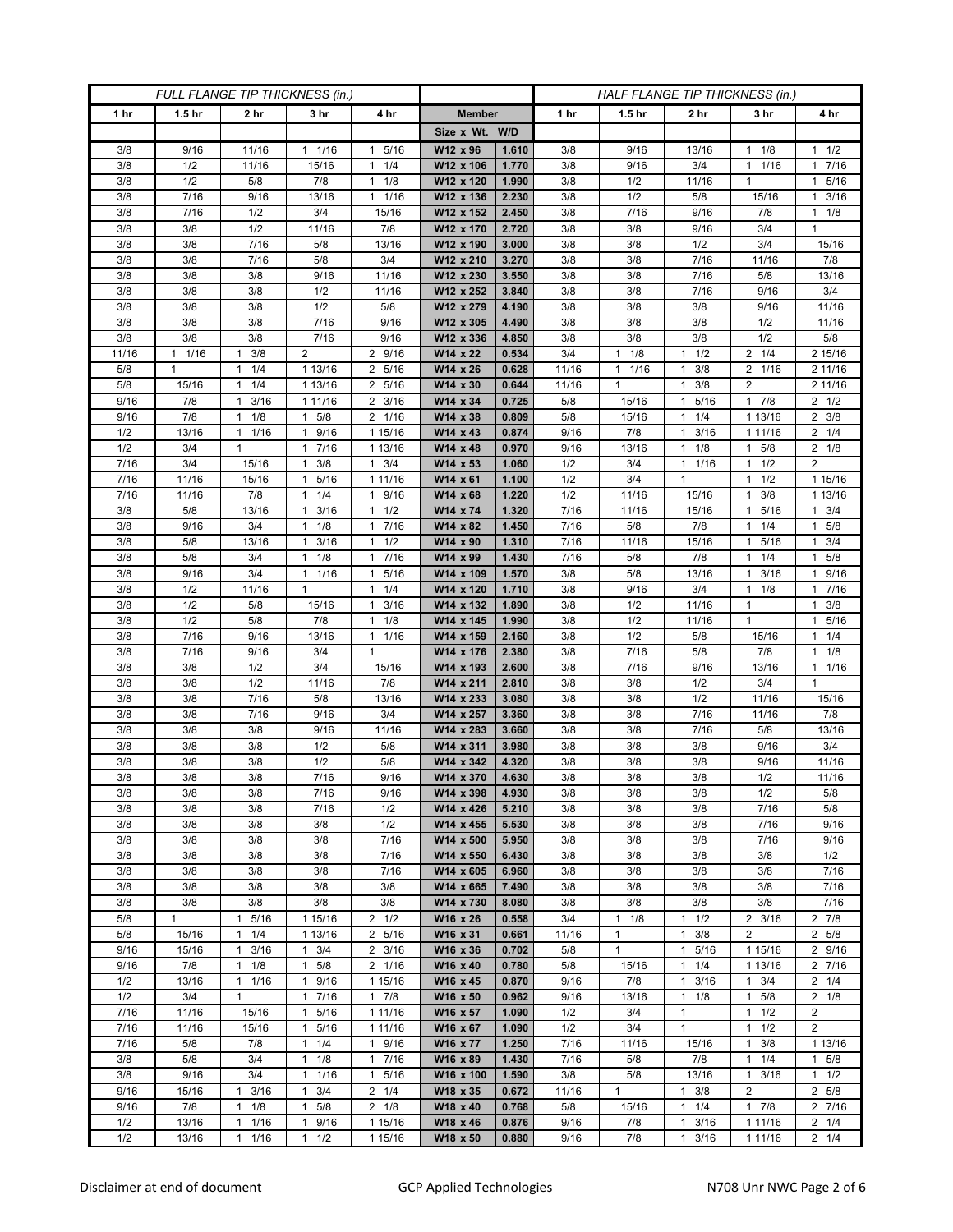| FULL FLANGE TIP THICKNESS (in.) |                   |                              |                                  |                                   | HALF FLANGE TIP THICKNESS (in.) |                |             |                   |                                     |                                  |                        |
|---------------------------------|-------------------|------------------------------|----------------------------------|-----------------------------------|---------------------------------|----------------|-------------|-------------------|-------------------------------------|----------------------------------|------------------------|
| 1 hr                            | 1.5 <sub>hr</sub> | 2 <sub>hr</sub>              | 3 <sub>hr</sub>                  | 4 hr                              | <b>Member</b>                   |                | 1 hr        | 1.5 <sub>hr</sub> | 2 hr                                | 3 hr                             | 4 hr                   |
|                                 |                   |                              |                                  |                                   | Size x Wt. W/D                  |                |             |                   |                                     |                                  |                        |
| 3/8                             | 9/16              | 11/16                        | 1/16<br>1                        | 5/16<br>1                         | W12 x 96                        | 1.610          | 3/8         | 9/16              | 13/16                               | 1/8<br>1                         | $1 \t1/2$              |
| 3/8                             | 1/2               | 11/16                        | 15/16                            | 1/4<br>$\mathbf{1}$               | W12 x 106                       | 1.770          | 3/8         | 9/16              | 3/4                                 | 1/16<br>$\mathbf{1}$             | 1 7/16                 |
| 3/8                             | 1/2               | 5/8                          | 7/8                              | 1/8<br>$\mathbf{1}$               | W12 x 120                       | 1.990          | 3/8         | 1/2               | 11/16                               | $\mathbf{1}$                     | 1 5/16                 |
| 3/8                             | 7/16              | 9/16                         | 13/16                            | 1/16<br>$\mathbf{1}$              | W12 x 136                       | 2.230          | 3/8         | 1/2               | 5/8                                 | 15/16                            | 3/16<br>1.             |
| 3/8                             | 7/16              | 1/2                          | 3/4                              | 15/16                             | W12 x 152                       | 2.450          | 3/8         | 7/16              | 9/16                                | 7/8                              | $1 \t1/8$              |
| 3/8                             | 3/8               | 1/2                          | 11/16                            | 7/8                               | W12 x 170                       | 2.720          | 3/8         | 3/8               | 9/16                                | 3/4                              | $\mathbf{1}$           |
| 3/8                             | 3/8               | 7/16                         | 5/8                              | 13/16                             | W12 x 190                       | 3.000          | 3/8         | 3/8               | 1/2                                 | 3/4                              | 15/16                  |
| 3/8<br>3/8                      | 3/8<br>3/8        | 7/16<br>3/8                  | 5/8                              | 3/4                               | W12 x 210<br>W12 x 230          | 3.270          | 3/8<br>3/8  | 3/8               | 7/16<br>7/16                        | 11/16<br>5/8                     | 7/8<br>13/16           |
| 3/8                             | 3/8               | 3/8                          | 9/16<br>1/2                      | 11/16<br>11/16                    | W12 x 252                       | 3.550<br>3.840 | 3/8         | 3/8<br>3/8        | 7/16                                | 9/16                             | 3/4                    |
| 3/8                             | 3/8               | 3/8                          | 1/2                              | 5/8                               | W12 x 279                       | 4.190          | 3/8         | 3/8               | 3/8                                 | 9/16                             | 11/16                  |
| 3/8                             | 3/8               | 3/8                          | 7/16                             | 9/16                              | W12 x 305                       | 4.490          | 3/8         | 3/8               | 3/8                                 | 1/2                              | 11/16                  |
| 3/8                             | 3/8               | 3/8                          | 7/16                             | 9/16                              | W12 x 336                       | 4.850          | 3/8         | 3/8               | 3/8                                 | 1/2                              | 5/8                    |
| 11/16                           | 1/16<br>1         | 3/8<br>$\mathbf{1}$          | $\overline{2}$                   | 2 9/16                            | W14 x 22                        | 0.534          | 3/4         | $1 \t1/8$         | 1/2<br>1                            | $2 \t1/4$                        | 2 15/16                |
| 5/8                             | 1                 | 1/4<br>1                     | 1 13/16                          | 2<br>5/16                         | W14 x 26                        | 0.628          | 11/16       | $1 \t1/16$        | 3/8<br>$\mathbf{1}$                 | 2 1/16                           | 2 11/16                |
| 5/8                             | 15/16             | 1/4<br>$\mathbf{1}$          | 1 13/16                          | 2<br>5/16                         | W14 x 30                        | 0.644          | 11/16       | $\mathbf{1}$      | 3/8<br>$\mathbf{1}$                 | $\overline{2}$                   | 2 11/16                |
| 9/16                            | 7/8               | 3/16<br>$\mathbf{1}$         | 1 11/16                          | 3/16<br>2                         | W14 x 34                        | 0.725          | 5/8         | 15/16             | 5/16<br>1                           | 17/8                             | $2 \frac{1}{2}$        |
| 9/16                            | 7/8               | 1/8<br>$\mathbf{1}$          | $1 \t5/8$                        | 2 1/16                            | W14 x 38                        | 0.809          | 5/8         | 15/16             | 1/4<br>$\mathbf{1}$                 | 1 13/16                          | $2 \frac{3}{8}$        |
| 1/2                             | 13/16             | $1 \t1/16$                   | 1 9/16                           | 1 15/16                           | W14 x 43                        | 0.874          | 9/16        | 7/8               | 3/16<br>$\mathbf{1}$                | 1 1 1 / 16                       | $2 \t1/4$              |
| 1/2                             | 3/4               | $\mathbf{1}$                 | 7/16<br>$\mathbf{1}$             | 1 13/16                           | W14 x 48                        | 0.970          | 9/16        | 13/16             | 1/8<br>$\mathbf{1}$                 | 5/8<br>1                         | $2 \t1/8$              |
| $\frac{1}{7}$ /16               | 3/4               | 15/16                        | 3/8<br>$\mathbf{1}$              | 3/4<br>$\mathbf{1}$               | W14 x 53                        | 1.060          | 1/2         | 3/4               | 1/16<br>$\mathbf{1}$                | 1/2<br>$\mathbf{1}$              | $\overline{2}$         |
| 7/16                            | 11/16             | 15/16                        | 5/16<br>$\mathbf{1}$             | 1 11/16                           | W14 x 61                        | 1.100          | 1/2         | 3/4               | 1                                   | $1 \t1/2$                        | 1 15/16                |
| 7/16                            | 11/16             | 7/8                          | 1/4<br>1                         | 9/16<br>1                         | W14 x 68                        | 1.220          | 1/2         | 11/16             | 15/16                               | 3/8<br>1                         | 1 13/16                |
| 3/8                             | 5/8               | 13/16                        | 3/16<br>$\mathbf{1}$             | 1/2<br>$\mathbf{1}$               | W14 x 74                        | 1.320          | 7/16        | 11/16             | 15/16                               | 5/16<br>1                        | $1 \t3/4$              |
| 3/8                             | 9/16              | 3/4                          | $1 \t1/8$                        | 7/16<br>1                         | W14 x 82                        | 1.450          | 7/16        | 5/8               | 7/8                                 | $1 \t1/4$                        | $1 \t5/8$              |
| 3/8                             | 5/8<br>5/8        | 13/16                        | 3/16<br>1                        | 1/2<br>1                          | W14 x 90<br>W14 x 99            | 1.310          | 7/16        | 11/16             | 15/16                               | 5/16<br>1<br>1/4<br>$\mathbf{1}$ | 3/4<br>1.<br>$1 \t5/8$ |
| 3/8<br>3/8                      | 9/16              | 3/4<br>3/4                   | $1 \t1/8$<br>11/16               | 7/16<br>$\mathbf{1}$<br>5/16<br>1 | W14 x 109                       | 1.430<br>1.570 | 7/16<br>3/8 | 5/8               | 7/8<br>13/16                        | 3/16<br>$\mathbf{1}$             | 1 9/16                 |
| 3/8                             | 1/2               | 11/16                        | $\mathbf{1}$                     | 1/4<br>$\mathbf{1}$               | W14 x 120                       | 1.710          | 3/8         | 5/8<br>9/16       | 3/4                                 | 1/8<br>1                         | 1 7/16                 |
| 3/8                             | 1/2               | 5/8                          | 15/16                            | 3/16<br>1                         | W14 x 132                       | 1.890          | 3/8         | 1/2               | 11/16                               | $\mathbf{1}$                     | $1 \t3/8$              |
| 3/8                             | 1/2               | 5/8                          | 7/8                              | 1/8<br>$\mathbf{1}$               | W14 x 145                       | 1.990          | 3/8         | 1/2               | 11/16                               | $\mathbf{1}$                     | 1 5/16                 |
| 3/8                             | 7/16              | 9/16                         | 13/16                            | 1/16<br>$\mathbf{1}$              | W14 x 159                       | 2.160          | 3/8         | 1/2               | 5/8                                 | 15/16                            | $1 \t1/4$              |
| 3/8                             | 7/16              | 9/16                         | 3/4                              | $\mathbf{1}$                      | W14 x 176                       | 2.380          | 3/8         | 7/16              | 5/8                                 | 7/8                              | $1 \t1/8$              |
| 3/8                             | 3/8               | 1/2                          | 3/4                              | 15/16                             | W14 x 193                       | 2.600          | 3/8         | 7/16              | 9/16                                | 13/16                            | 1 1/16                 |
| 3/8                             | 3/8               | 1/2                          | 11/16                            | 7/8                               | W14 x 211                       | 2.810          | 3/8         | 3/8               | 1/2                                 | 3/4                              | $\mathbf{1}$           |
| 3/8                             | 3/8               | 7/16                         | 5/8                              | 13/16                             | W14 x 233                       | 3.080          | 3/8         | 3/8               | 1/2                                 | 11/16                            | 15/16                  |
| 3/8                             | 3/8               | $7/16$                       | 9/16                             | 3/4                               | W14 x 257                       | 3.360          | 3/8         | 3/8               | 7/16                                | 11/16                            | 7/8                    |
| 3/8                             | 3/8               | 3/8                          | 9/16                             | 11/16                             | W14 x 283                       | 3.660          | 3/8         | 3/8               | 7/16                                | 5/8                              | 13/16                  |
| 3/8                             | 3/8               | 3/8                          | 1/2                              | 5/8                               | W14 x 311                       | 3.980          | 3/8         | 3/8               | 3/8                                 | 9/16                             | 3/4                    |
| 3/8                             | 3/8               | 3/8                          | 1/2                              | 5/8                               | W14 x 342                       | 4.320          | 3/8         | 3/8               | 3/8                                 | 9/16                             | 11/16                  |
| 3/8                             | 3/8               | 3/8                          | 7/16                             | 9/16                              | W14 x 370                       | 4.630          | 3/8         | 3/8               | 3/8                                 | 1/2                              | 11/16                  |
| 3/8                             | 3/8               | 3/8                          | 7/16                             | 9/16                              | W14 x 398                       | 4.930          | 3/8         | 3/8               | 3/8                                 | 1/2                              | 5/8                    |
| 3/8                             | 3/8               | 3/8                          | 7/16                             | 1/2                               | W14 x 426                       | 5.210          | 3/8         | 3/8               | 3/8                                 | 7/16                             | 5/8                    |
| 3/8<br>3/8                      | 3/8<br>3/8        | 3/8<br>3/8                   | 3/8<br>3/8                       | 1/2<br>7/16                       | W14 x 455<br>W14 x 500          | 5.530<br>5.950 | 3/8<br>3/8  | 3/8<br>3/8        | 3/8<br>3/8                          | 7/16<br>7/16                     | 9/16<br>9/16           |
| 3/8                             | 3/8               | 3/8                          | 3/8                              | 7/16                              | W14 x 550                       | 6.430          | 3/8         | 3/8               | 3/8                                 | 3/8                              | 1/2                    |
| 3/8                             | 3/8               | 3/8                          | 3/8                              | 7/16                              | W14 x 605                       | 6.960          | 3/8         | 3/8               | 3/8                                 | 3/8                              | 7/16                   |
| 3/8                             | 3/8               | 3/8                          | 3/8                              | 3/8                               | W14 x 665                       | 7.490          | 3/8         | 3/8               | 3/8                                 | 3/8                              | 7/16                   |
| 3/8                             | 3/8               | 3/8                          | 3/8                              | 3/8                               | W14 x 730                       | 8.080          | 3/8         | 3/8               | 3/8                                 | 3/8                              | 7/16                   |
| 5/8                             | $\mathbf{1}$      | 1 5/16                       | 1 15/16                          | $2 \frac{1}{2}$                   | W16 x 26                        | 0.558          | 3/4         | $1 \t1/8$         | $1 \t1/2$                           | $2 \frac{3}{16}$                 | $2 \t 7/8$             |
| 5/8                             | 15/16             | 1/4<br>$\mathbf{1}$          | 1 13/16                          | 5/16<br>$\overline{2}$            | W16 x 31                        | 0.661          | 11/16       | 1                 | 3/8<br>$\mathbf{1}$                 | $\overline{2}$                   | 2 5/8                  |
| 9/16                            | 15/16             | 3/16<br>$\mathbf{1}$         | $1 \t3/4$                        | $2 \frac{3}{16}$                  | W16 x 36                        | 0.702          | 5/8         | $\mathbf{1}$      | $\mathbf{1}$<br>5/16                | 1 15/16                          | 2 9/16                 |
| 9/16                            | 7/8               | $1 \t1/8$                    | $1 \t5/8$                        | 2 1/16                            | W16 x 40                        | 0.780          | 5/8         | 15/16             | 1/4<br>$\mathbf{1}$                 | 1 13/16                          | 2 7/16                 |
| 1/2                             | 13/16             | 1/16<br>1                    | 9/16<br>$\mathbf{1}$             | 1 15/16                           | W16 x 45                        | 0.870          | 9/16        | 7/8               | 3/16<br>$\mathbf{1}$                | $1 \t3/4$                        | $2 \t1/4$              |
| 1/2                             | 3/4               | $\mathbf{1}$                 | 7/16<br>$\mathbf{1}$             | $1 \t7/8$                         | W16 x 50                        | 0.962          | 9/16        | 13/16             | 1/8<br>$\mathbf{1}$                 | 5/8<br>$\mathbf{1}$              | $2 \t1/8$              |
| 7/16                            | 11/16             | 15/16                        | 1 5/16                           | 1 11/16                           | W16 x 57                        | 1.090          | 1/2         | 3/4               | $\mathbf{1}$                        | $1 \t1/2$                        | $\overline{2}$         |
| 7/16                            | 11/16             | 15/16                        | 5/16<br>1                        | 1 11/16                           | W16 x 67                        | 1.090          | 1/2         | 3/4               | $\mathbf{1}$                        | 1/2<br>$\mathbf{1}$              | $\overline{2}$         |
| 7/16                            | 5/8               | 7/8                          | 1/4<br>$\mathbf{1}$              | 9/16<br>$\mathbf{1}$              | W16 x 77                        | 1.250          | 7/16        | 11/16             | 15/16                               | 3/8<br>$\mathbf{1}$              | 1 13/16                |
| 3/8                             | 5/8               | 3/4                          | 1/8<br>$\mathbf{1}$              | 7/16<br>1                         | W16 x 89                        | 1.430          | 7/16        | 5/8               | 7/8                                 | 1/4<br>1                         | $1 \t5/8$              |
| 3/8                             | 9/16              | 3/4                          | 1/16<br>$\mathbf{1}$             | $\frac{1}{5}{16}$<br>1            | W16 x 100                       | 1.590          | 3/8         | 5/8               | 13/16                               | 3/16<br>$\mathbf{1}$             | $1 \t1/2$              |
| 9/16                            | 15/16             | $1 \t3/16$<br>1              | 3/4<br>$\mathbf{1}$<br>1         | $2 \t1/4$                         | W18 x 35                        | 0.672          | 11/16       | $\mathbf{1}$      | 3/8<br>$\mathbf{1}$<br>$\mathbf{1}$ | $\overline{2}$<br>17/8           | 2 5/8                  |
| 9/16<br>1/2                     | 7/8               | 1/8<br>$\mathbf{1}$          | 5/8                              | $2 \t1/8$                         | W18 x 40                        | 0.768<br>0.876 | 5/8<br>9/16 | 15/16<br>7/8      | 1/4<br>3/16<br>$\mathbf{1}$         |                                  | 2 7/16<br>$2 \t1/4$    |
| 1/2                             | 13/16<br>13/16    | 1/16<br>$\mathbf{1}$<br>1/16 | 9/16<br>1<br>1/2<br>$\mathbf{1}$ | 1 15/16<br>1 15/16                | W18 x 46<br>W18 x 50            | 0.880          | 9/16        | 7/8               | 3/16<br>$\mathbf{1}$                | 1 11/16<br>1 1 1 / 1 6           | $2 \t1/4$              |
|                                 |                   |                              |                                  |                                   |                                 |                |             |                   |                                     |                                  |                        |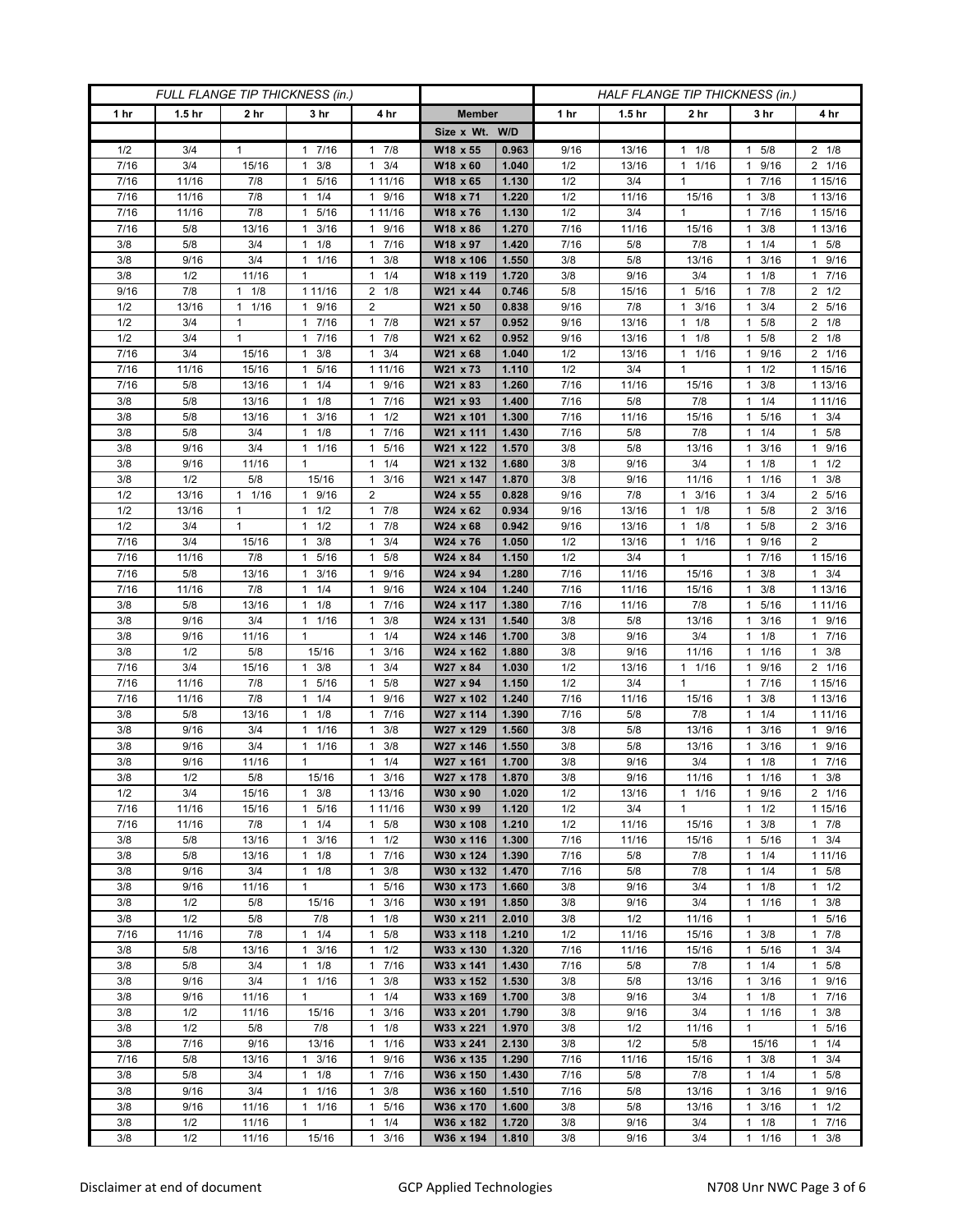| FULL FLANGE TIP THICKNESS (in.) |                   |                      |                            |                                              | HALF FLANGE TIP THICKNESS (in.) |                |              |                   |                      |                                  |                      |
|---------------------------------|-------------------|----------------------|----------------------------|----------------------------------------------|---------------------------------|----------------|--------------|-------------------|----------------------|----------------------------------|----------------------|
| 1 hr                            | 1.5 <sub>hr</sub> | 2 <sub>hr</sub>      | 3 <sub>hr</sub>            | 4 hr                                         | <b>Member</b>                   |                | 1 hr         | 1.5 <sub>hr</sub> | 2 <sub>hr</sub>      | 3 hr                             | 4 hr                 |
|                                 |                   |                      |                            |                                              | Size x Wt. W/D                  |                |              |                   |                      |                                  |                      |
| 1/2                             | 3/4               | 1                    | 7/16<br>1                  | 7/8<br>1                                     | W18 x 55                        | 0.963          | 9/16         | 13/16             | 1/8<br>$\mathbf{1}$  | 5/8                              | $2 \t1/8$            |
| 7/16                            | 3/4               | 15/16                | 3/8<br>$\mathbf{1}$        | 3/4<br>$\mathbf{1}$                          | W18 x 60                        | 1.040          | 1/2          | 13/16             | 1/16<br>$\mathbf{1}$ | 9/16<br>1                        | 2 1/16               |
| 7/16                            | 11/16             | 7/8                  | 5/16<br>$\mathbf{1}$       | 1 11/16                                      | W18 x 65                        | 1.130          | 1/2          | 3/4               | $\mathbf{1}$         | 7/16<br>1.                       | 1 15/16              |
| 7/16                            | 11/16             | 7/8                  | 1/4<br>1                   | 9/16<br>$\mathbf{1}$                         | W18 x 71                        | 1.220          | 1/2          | 11/16             | 15/16                | 3/8<br>1                         | 1 13/16              |
| 7/16                            | 11/16             | 7/8                  | 5/16<br>1                  | 1 11/16                                      | W18 x 76                        | 1.130          | 1/2          | 3/4               | $\mathbf{1}$         | 7/16<br>1                        | 1 15/16              |
| 7/16                            | 5/8               | 13/16                | 3/16<br>$\mathbf{1}$       | 9/16<br>$\mathbf{1}$                         | W18 x 86                        | 1.270          | 7/16         | 11/16             | 15/16                | 3/8<br>1                         | 1 13/16              |
| 3/8                             | 5/8               | 3/4                  | 1/8<br>1                   | 7/16<br>1                                    | W18 x 97                        | 1.420          | 7/16         | 5/8               | 7/8                  | 1/4<br>1                         | $1 \t5/8$            |
| 3/8                             | 9/16              | 3/4                  | 1/16<br>1                  | 3/8<br>1                                     | W18 x 106                       | 1.550          | 3/8          | 5/8               | 13/16                | 3/16<br>1                        | 1 9/16               |
| 3/8                             | 1/2               | 11/16                | $\mathbf{1}$               | 1/4<br>$\mathbf{1}$                          | W18 x 119                       | 1.720          | 3/8          | 9/16              | 3/4                  | 1/8                              | 17/16                |
| 9/16                            | 7/8               | $1 \t1/8$            | 1 11/16                    | $2 \t1/8$                                    | W21 x 44                        | 0.746          | 5/8          | 15/16             | 5/16<br>$\mathbf{1}$ | 7/8<br>1                         | $2 \frac{1}{2}$      |
| 1/2                             | 13/16             | 1/16<br>$\mathbf{1}$ | 9/16<br>1                  | 2                                            | W21 x 50                        | 0.838          | 9/16         | 7/8               | 3/16<br>$\mathbf{1}$ | 3/4<br>1                         | 2 5/16               |
| 1/2                             | 3/4               | 1                    | 7/16<br>$\mathbf{1}$       | 7/8<br>1                                     | W21 x 57                        | 0.952          | 9/16         | 13/16             | 1/8<br>$\mathbf{1}$  | 5/8                              | $2 \t1/8$            |
| 1/2                             | 3/4               | 1                    | 7/16<br>1                  | 7/8<br>1                                     | W21 x 62                        | 0.952          | 9/16         | 13/16             | 1/8<br>$\mathbf{1}$  | 5/8<br>1                         | $2 \t1/8$            |
| 7/16                            | 3/4               | 15/16                | 3/8<br>1                   | 3/4<br>1                                     | W21 x 68                        | 1.040          | 1/2          | 13/16             | $\mathbf{1}$<br>1/16 | 9/16<br>1                        | 2 1/16               |
| 7/16<br>7/16                    | 11/16<br>5/8      | 15/16<br>13/16       | 5/16<br>1<br>1/4<br>1      | 1 11/16<br>9/16<br>$\mathbf{1}$              | W21 x 73                        | 1.110          | 1/2<br>7/16  | 3/4               | $\mathbf{1}$         | 1/2<br>3/8<br>1                  | 1 15/16              |
| 3/8                             | 5/8               | 13/16                | 1/8<br>$\mathbf{1}$        | 7/16<br>1                                    | W21 x 83<br>W21 x 93            | 1.260<br>1.400 | 7/16         | 11/16<br>5/8      | 15/16<br>7/8         | 1/4<br>1                         | 1 13/16<br>1 11/16   |
| 3/8                             | 5/8               | 13/16                | $1 \t3/16$                 | 1/2<br>1                                     | W21 x 101                       | 1.300          | 7/16         | 11/16             | 15/16                | 1 5/16                           | $1 \t3/4$            |
| 3/8                             | 5/8               | 3/4                  | $1 \t1/8$                  | 7/16<br>1                                    | W21 x 111                       | 1.430          | 7/16         | 5/8               | 7/8                  | 1/4<br>1.                        | $1 \t5/8$            |
| 3/8                             | 9/16              | 3/4                  | $\mathbf{1}$<br>1/16       | 5/16<br>$\mathbf{1}$                         | W21 x 122                       | 1.570          | 3/8          | 5/8               | 13/16                | 3/16<br>1                        | 9/16<br>$\mathbf{1}$ |
| 3/8                             | 9/16              | 11/16                | $\mathbf{1}$               | 1/4<br>$\mathbf{1}$                          | W21 x 132                       | 1.680          | 3/8          | 9/16              | 3/4                  | 1/8<br>1                         | $1 \t1/2$            |
| 3/8                             | 1/2               | 5/8                  | 15/16                      | 3/16<br>1                                    | W21 x 147                       | 1.870          | 3/8          | 9/16              | 11/16                | 1 1/16                           | $1 \t3/8$            |
| 1/2                             | 13/16             | 1/16<br>1            | 9/16<br>1                  | $\overline{2}$                               | W24 x 55                        | 0.828          | 9/16         | 7/8               | 3/16<br>$\mathbf{1}$ | 3/4                              | 2 5/16               |
| 1/2                             | 13/16             | $\mathbf{1}$         | $1 \t1/2$                  | 7/8<br>$\mathbf{1}$                          | W24 x 62                        | 0.934          | 9/16         | 13/16             | 1/8<br>$\mathbf{1}$  | 5/8<br>1                         | $2 \frac{3}{16}$     |
| 1/2                             | 3/4               | 1                    | $1 \t1/2$                  | 7/8<br>1                                     | W24 x 68                        | 0.942          | 9/16         | 13/16             | 1/8<br>1             | 1 5/8                            | $2 \frac{3}{16}$     |
| 7/16                            | 3/4               | 15/16                | 3/8<br>1                   | 3/4<br>1                                     | W24 x 76                        | 1.050          | 1/2          | 13/16             | 1/16<br>$\mathbf{1}$ | 9/16                             | 2                    |
| 7/16                            | 11/16             | 7/8                  | 5/16<br>$\mathbf{1}$       | 5/8<br>$\mathbf{1}$                          | W24 x 84                        | 1.150          | 1/2          | 3/4               | $\mathbf{1}$         | $7/16$<br>1                      | 1 15/16              |
| 7/16                            | 5/8               | 13/16                | 3/16<br>$\mathbf{1}$       | 9/16<br>$\mathbf{1}$                         | W24 x 94                        | 1.280          | 7/16         | 11/16             | 15/16                | 3/8<br>1.                        | $1 \t3/4$            |
| 7/16                            | 11/16             | 7/8                  | 1/4<br>$\mathbf{1}$        | 9/16<br>1                                    | W24 x 104                       | 1.240          | 7/16         | 11/16             | 15/16                | 3/8<br>1                         | 1 13/16              |
| 3/8                             | 5/8               | 13/16                | 1/8<br>1                   | 7/16<br>$\mathbf{1}$                         | W24 x 117                       | 1.380          | 7/16         | 11/16             | 7/8                  | 5/16<br>1                        | 1 1 1 / 16           |
| 3/8                             | 9/16              | 3/4                  | 11/16                      | 3/8<br>$\mathbf{1}$                          | W24 x 131                       | 1.540          | 3/8          | 5/8               | 13/16                | 3/16<br>1                        | 1 9/16               |
| 3/8                             | 9/16              | 11/16                | 1                          | 1/4<br>$\mathbf{1}$                          | W24 x 146                       | 1.700          | 3/8          | 9/16              | 3/4                  | 1/8<br>1                         | 17/16                |
| 3/8                             | 1/2               | 5/8                  | 15/16                      | 3/16<br>$\mathbf{1}$                         | W24 x 162                       | 1.880          | 3/8          | 9/16              | 11/16                | 1/16<br>1                        | $1 \t3/8$            |
| 7/16                            | 3/4               | 15/16                | 3/8<br>1                   | 3/4<br>$\mathbf{1}$                          | W27 x 84                        | 1.030          | 1/2          | 13/16             | 1/16<br>$\mathbf{1}$ | 9/16                             | 2 1/16               |
| 7/16                            | 11/16             | 7/8                  | 5/16<br>1                  | $\mathbf{1}$<br>5/8                          | W27 x 94                        | 1.150          | 1/2          | 3/4               | $\mathbf{1}$         | 7/16<br>1                        | 1 15/16              |
| 7/16<br>3/8                     | 11/16<br>5/8      | 7/8<br>13/16         | 1/4<br>1<br>1/8<br>1       | 9/16<br>$\mathbf{1}$<br>7/16<br>$\mathbf{1}$ | W27 x 102<br>W27 x 114          | 1.240<br>1.390 | 7/16<br>7/16 | 11/16<br>5/8      | 15/16<br>7/8         | 3/8<br>1<br>1/4                  | 1 13/16<br>1 11/16   |
| 3/8                             | 9/16              | 3/4                  | 1/16<br>1                  | 3/8<br>$\mathbf{1}$                          | W27 x 129                       | 1.560          | 3/8          | 5/8               | 13/16                | 3/16                             | 1 9/16               |
| 3/8                             | 9/16              | 3/4                  | $\mathbf{1}$<br>1/16       | 3/8<br>$\mathbf{1}$                          | W27 x 146                       | 1.550          | 3/8          | 5/8               | 13/16                | 3/16<br>1                        | 1 9/16               |
| 3/8                             | 9/16              | 11/16                | $\mathbf{1}$               | 1/4<br>1                                     | W27 x 161                       | 1.700          | 3/8          | 9/16              | 3/4                  | 1/8                              | 17/16                |
| 3/8                             | 1/2               | 5/8                  | 15/16                      | 3/16<br>$\mathbf{1}$                         | W27 x 178                       | 1.870          | 3/8          | 9/16              | 11/16                | 1/16<br>$\mathbf{1}$             | 3/8<br>$\mathbf{1}$  |
| 1/2                             | 3/4               | 15/16                | $1 \t3/8$                  | 1 13/16                                      | W30 x 90                        | 1.020          | 1/2          | 13/16             | $1 \t1/16$           | 1 9/16                           | 2 1/16               |
| 7/16                            | 11/16             | 15/16                | 1 5/16                     | 1 11/16                                      | W30 x 99                        | 1.120          | 1/2          | 3/4               | $\mathbf{1}$         | $1 \t1/2$                        | 1 15/16              |
| 7/16                            | 11/16             | 7/8                  | $1 \t1/4$                  | 5/8<br>$\mathbf{1}$                          | W30 x 108                       | 1.210          | 1/2          | 11/16             | 15/16                | 3/8<br>1                         | $1 \t7/8$            |
| 3/8                             | 5/8               | 13/16                | 3/16<br>$\mathbf{1}$       | 1/2<br>$\mathbf{1}$                          | W30 x 116                       | 1.300          | 7/16         | 11/16             | 15/16                | 5/16<br>1                        | $1 \t3/4$            |
| 3/8                             | 5/8               | 13/16                | $1 \t1/8$                  | 7/16<br>$\mathbf{1}$                         | W30 x 124                       | 1.390          | 7/16         | 5/8               | 7/8                  | 1/4<br>$\mathbf{1}$              | 1 11/16              |
| 3/8                             | 9/16              | 3/4                  | $1 \t1/8$                  | 3/8<br>$\mathbf{1}$                          | W30 x 132                       | 1.470          | 7/16         | 5/8               | 7/8                  | $1 \t1/4$                        | 1 5/8                |
| 3/8                             | 9/16              | 11/16                | $\mathbf{1}$               | 5/16<br>$\mathbf{1}$                         | W30 x 173                       | 1.660          | 3/8          | 9/16              | 3/4                  | 1/8<br>1                         | $1 \t1/2$            |
| 3/8                             | 1/2               | 5/8                  | 15/16                      | 3/16<br>$\mathbf{1}$                         | W30 x 191                       | 1.850          | 3/8          | 9/16              | 3/4                  | 1/16<br>$\mathbf{1}$             | $1 \t3/8$            |
| 3/8                             | 1/2               | 5/8                  | 7/8                        | 1/8<br>1                                     | W30 x 211                       | 2.010          | 3/8          | 1/2               | 11/16                | 1                                | 1 5/16               |
| 7/16                            | 11/16             | 7/8                  | 1/4<br>1                   | 5/8<br>$\mathbf{1}$                          | W33 x 118                       | 1.210          | 1/2          | 11/16             | 15/16                | 3/8<br>1                         | 17/8                 |
| 3/8                             | 5/8               | 13/16                | $\mathbf{1}$<br>3/16       | $\mathbf{1}$<br>1/2                          | W33 x 130                       | 1.320          | 7/16         | 11/16             | 15/16                | 5/16<br>$\mathbf{1}$             | $1 \t3/4$            |
| 3/8                             | 5/8               | 3/4                  | $1 \t1/8$                  | 7/16<br>$\mathbf{1}$                         | W33 x 141                       | 1.430          | 7/16         | 5/8               | 7/8                  | $1 \t1/4$                        | $1 \t5/8$            |
| 3/8<br>3/8                      | 9/16<br>9/16      | 3/4<br>11/16         | $1 \t1/16$<br>$\mathbf{1}$ | 3/8<br>$\mathbf{1}$<br>$\mathbf{1}$<br>1/4   | W33 x 152<br>W33 x 169          | 1.530<br>1.700 | 3/8<br>3/8   | 5/8<br>9/16       | 13/16<br>3/4         | 3/16<br>1<br>1/8<br>$\mathbf{1}$ | 1 9/16<br>17/16      |
| 3/8                             | 1/2               | 11/16                | 15/16                      | 3/16<br>$\mathbf{1}$                         | W33 x 201                       | 1.790          | 3/8          | 9/16              | 3/4                  | 11/16                            | $1 \t3/8$            |
| 3/8                             | 1/2               | 5/8                  | 7/8                        | 1/8<br>$\mathbf{1}$                          | W33 x 221                       | 1.970          | 3/8          | 1/2               | 11/16                | $\mathbf{1}$                     | 1 5/16               |
| 3/8                             | 7/16              | 9/16                 | 13/16                      | 1/16<br>1                                    | W33 x 241                       | 2.130          | 3/8          | 1/2               | 5/8                  | 15/16                            | $1 \t1/4$            |
| 7/16                            | 5/8               | 13/16                | $1 \t3/16$                 | 9/16<br>$\mathbf{1}$                         | W36 x 135                       | 1.290          | 7/16         | 11/16             | 15/16                | $1 \t3/8$                        | $1 \t3/4$            |
| 3/8                             | 5/8               | 3/4                  | $1 \t1/8$                  | 7/16<br>$\mathbf{1}$                         | W36 x 150                       | 1.430          | 7/16         | 5/8               | 7/8                  | 1/4<br>$\mathbf{1}$              | 1 5/8                |
| 3/8                             | 9/16              | 3/4                  | 1 1/16                     | $\mathbf{1}$<br>3/8                          | W36 x 160                       | 1.510          | 7/16         | 5/8               | 13/16                | 3/16<br>$\mathbf{1}$             | 1 9/16               |
| 3/8                             | 9/16              | 11/16                | 11/16                      | $\mathbf{1}$<br>5/16                         | W36 x 170                       | 1.600          | 3/8          | 5/8               | 13/16                | 3/16<br>1                        | $1 \t1/2$            |
| 3/8                             | 1/2               | 11/16                | 1                          | 1/4<br>$\mathbf{1}$                          | W36 x 182                       | 1.720          | 3/8          | 9/16              | 3/4                  | 1/8<br>1                         | 17/16                |
| 3/8                             | 1/2               | 11/16                | 15/16                      | 3/16<br>$\mathbf{1}$                         | W36 x 194                       | 1.810          | 3/8          | 9/16              | 3/4                  | $\mathbf{1}$<br>1/16             | $1 \t3/8$            |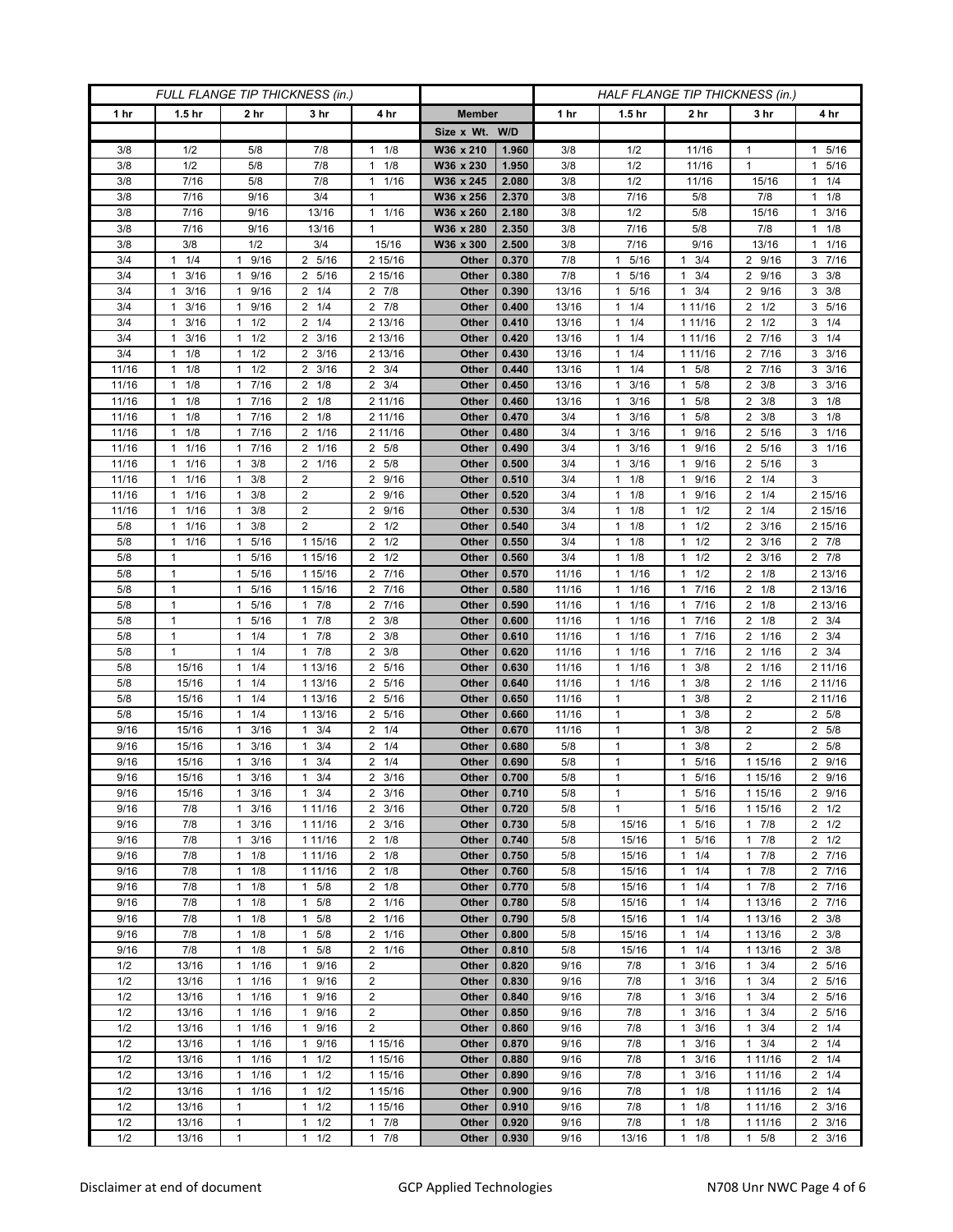| FULL FLANGE TIP THICKNESS (in.) |                                 |                                              |                                              |                                   |                | HALF FLANGE TIP THICKNESS (in.) |              |                                    |                                              |                                  |                                |
|---------------------------------|---------------------------------|----------------------------------------------|----------------------------------------------|-----------------------------------|----------------|---------------------------------|--------------|------------------------------------|----------------------------------------------|----------------------------------|--------------------------------|
| 1 hr                            | 1.5 <sub>hr</sub>               | 2 hr                                         | 3 hr                                         | 4 hr                              | <b>Member</b>  |                                 | 1 hr         | 1.5 <sub>hr</sub>                  | 2 hr                                         | 3 hr                             | 4 hr                           |
|                                 |                                 |                                              |                                              |                                   | Size x Wt. W/D |                                 |              |                                    |                                              |                                  |                                |
| 3/8                             | 1/2                             | 5/8                                          | 7/8                                          | 1/8<br>$\mathbf{1}$               | W36 x 210      | 1.960                           | 3/8          | 1/2                                | 11/16                                        | 1                                | 1 5/16                         |
| 3/8                             | 1/2                             | 5/8                                          | 7/8                                          | 1/8<br>1                          | W36 x 230      | 1.950                           | 3/8          | 1/2                                | 11/16                                        | $\mathbf{1}$                     | 5/16<br>1                      |
| 3/8                             | 7/16                            | 5/8                                          | 7/8                                          | 1/16<br>$\mathbf{1}$              | W36 x 245      | 2.080                           | 3/8          | 1/2                                | 11/16                                        | 15/16                            | $1 \t1/4$                      |
| 3/8                             | 7/16                            | 9/16                                         | 3/4                                          | 1                                 | W36 x 256      | 2.370                           | 3/8          | 7/16                               | 5/8                                          | 7/8                              | $1 \t1/8$                      |
| 3/8                             | 7/16                            | 9/16                                         | 13/16                                        | $\mathbf{1}$<br>1/16              | W36 x 260      | 2.180                           | 3/8          | 1/2                                | 5/8                                          | 15/16                            | $1 \t3/16$                     |
| 3/8                             | 7/16                            | 9/16                                         | 13/16                                        | $\mathbf{1}$                      | W36 x 280      | 2.350                           | 3/8          | 7/16                               | 5/8                                          | 7/8                              | $1 \t1/8$                      |
| 3/8                             | 3/8                             | 1/2                                          | 3/4                                          | 15/16                             | W36 x 300      | 2.500                           | 3/8          | 7/16                               | 9/16                                         | 13/16                            | 1/16<br>1                      |
| 3/4                             | 1/4<br>$\mathbf{1}$             | 9/16<br>1                                    | 2 5/16                                       | 2 15/16                           | Other          | 0.370                           | 7/8          | 5/16<br>$\mathbf{1}$               | 3/4<br>1                                     | 2 9/16                           | 3 7/16                         |
| 3/4                             | 3/16<br>1                       | 9/16<br>1                                    | 2 5/16                                       | 2 15/16                           | Other          | 0.380                           | 7/8          | 5/16<br>$\mathbf{1}$               | 3/4<br>$\mathbf{1}$                          | 2 9/16                           | $3 \frac{3}{8}$                |
| 3/4                             | 3/16<br>$\mathbf{1}$            | 9/16<br>$\mathbf{1}$                         | $2 \t1/4$                                    | $2 \t 7/8$                        | Other          | 0.390                           | 13/16        | 5/16<br>$\mathbf{1}$               | 3/4<br>$\mathbf{1}$                          | 2 9/16                           | $3 \frac{3}{8}$                |
| 3/4                             | 3/16<br>$\mathbf{1}$            | 9/16<br>$\mathbf{1}$                         | $2 \t1/4$                                    | $2 \t 7/8$                        | Other          | 0.400                           | 13/16        | 11/4                               | 1 11/16                                      | $2 \frac{1}{2}$                  | 3 5/16                         |
| 3/4                             | 3/16<br>$\mathbf{1}$            | 1/2<br>$\mathbf{1}$                          | $2 \t1/4$                                    | 2 13/16                           | Other          | 0.410                           | 13/16        | $1 \t1/4$                          | 1 11/16                                      | $2 \frac{1}{2}$                  | $3 \t1/4$                      |
| 3/4                             | 3/16<br>$\mathbf{1}$            | 1/2<br>1                                     | $2 \frac{3}{16}$                             | 2 13/16                           | Other          | 0.420                           | 13/16        | 1/4<br>$\mathbf{1}$                | 1 1 1/16                                     | 2 7/16                           | $3 \t1/4$                      |
| 3/4                             | 1/8<br>1                        | 1/2<br>$\mathbf{1}$                          | $2 \frac{3}{16}$                             | 2 13/16                           | Other          | 0.430                           | 13/16        | 1/4<br>$\mathbf{1}$                | 1 1 1 / 16                                   | $7/16$<br>2                      | 3/16<br>3                      |
| 11/16                           | 1/8<br>$\mathbf{1}$             | $1 \t1/2$                                    | $2 \frac{3}{16}$                             | $2 \frac{3}{4}$                   | Other          | 0.440                           | 13/16        | $1 \t1/4$                          | 5/8<br>1                                     | 2 7/16                           | $3 \frac{3}{16}$               |
| 11/16<br>11/16                  | 1/8<br>$\mathbf{1}$<br>1/8<br>1 | 17/16<br>7/16<br>1                           | $2 \t1/8$<br>$2 \t1/8$                       | $2 \frac{3}{4}$                   | Other<br>Other | 0.450<br>0.460                  | 13/16        | $1 \t3/16$<br>3/16<br>$\mathbf{1}$ | 5/8<br>$\mathbf{1}$<br>5/8<br>$\mathbf{1}$   | $2 \frac{3}{8}$<br>3/8<br>2      | $3 \frac{3}{16}$<br>$3 \t1/8$  |
|                                 | $\mathbf{1}$                    | 7/16                                         |                                              | 2 11/16                           |                |                                 | 13/16        | $\mathbf{1}$                       | 5/8                                          |                                  | $3 \t1/8$                      |
| 11/16<br>11/16                  | 1/8<br>$1 \t1/8$                | $\mathbf{1}$<br>17/16                        | $2 \t1/8$<br>2 1/16                          | 2 11/16<br>2 11/16                | Other<br>Other | 0.470<br>0.480                  | 3/4<br>3/4   | 3/16<br>$1 \t3/16$                 | $\mathbf{1}$<br>9/16<br>1                    | $2 \frac{3}{8}$<br>2 5/16        | $3 \t1/16$                     |
| 11/16                           | 1/16<br>1                       | 7/16<br>$\mathbf{1}$                         | 2 1/16                                       | 5/8<br>2                          | Other          | 0.490                           | 3/4          | 3/16<br>1                          | 9/16<br>-1                                   | 5/16<br>2                        | $3 \t1/16$                     |
| 11/16                           | 1/16<br>$\mathbf{1}$            | 3/8<br>$\mathbf{1}$                          | 2 1/16                                       | $\overline{2}$<br>5/8             | Other          | 0.500                           | 3/4          | 3/16<br>$\mathbf{1}$               | 9/16<br>$\mathbf{1}$                         | 5/16<br>2                        | 3                              |
| 11/16                           | 1/16<br>$\mathbf{1}$            | 3/8<br>$\mathbf{1}$                          | $\overline{c}$                               | 9/16<br>$\overline{2}$            | Other          | 0.510                           | 3/4          | $1 \t1/8$                          | 9/16<br>$\mathbf{1}$                         | $2 \t1/4$                        | 3                              |
| 11/16                           | 1/16<br>$\mathbf{1}$            | 3/8<br>$\mathbf{1}$                          | $\overline{2}$                               | 9/16<br>2                         | Other          | 0.520                           | 3/4          | 1/8<br>1                           | 9/16<br>$\mathbf{1}$                         | 1/4<br>2                         | 2 15/16                        |
| 11/16                           | 1/16<br>$\mathbf{1}$            | 3/8<br>$\mathbf{1}$                          | $\overline{2}$                               | $\overline{2}$<br>9/16            | Other          | 0.530                           | 3/4          | $1 \t1/8$                          | 1/2<br>$\mathbf{1}$                          | $2 \t1/4$                        | 2 15/16                        |
| 5/8                             | 1/16<br>$\mathbf{1}$            | $1 \t3/8$                                    | $\overline{2}$                               | $2 \frac{1}{2}$                   | Other          | 0.540                           | 3/4          | $1 \t1/8$                          | 1/2<br>$\mathbf{1}$                          | $2 \frac{3}{16}$                 | 2 15/16                        |
| 5/8                             | 1/16<br>$\mathbf{1}$            | 5/16<br>$\mathbf{1}$                         | 1 15/16                                      | 1/2<br>2                          | Other          | 0.550                           | 3/4          | 1/8<br>1                           | 1/2<br>$\mathbf{1}$                          | $2 \frac{3}{16}$                 | $2 \t 7/8$                     |
| 5/8                             | 1                               | 5/16<br>$\mathbf{1}$                         | 1 15/16                                      | 1/2<br>2                          | Other          | 0.560                           | 3/4          | 1/8<br>$\mathbf{1}$                | 1/2<br>$\mathbf{1}$                          | 3/16<br>2                        | $2 \t 7/8$                     |
| 5/8                             | $\mathbf{1}$                    | 5/16<br>$\mathbf{1}$                         | 1 15/16                                      | 2 7/16                            | Other          | 0.570                           | 11/16        | 11/16                              | 1/2<br>$\mathbf{1}$                          | $2 \t1/8$                        | 2 13/16                        |
| 5/8                             | $\mathbf{1}$                    | 5/16<br>$\mathbf{1}$                         | 1 15/16                                      | $\frac{1}{2}$ 7/16                | Other          | 0.580                           | 11/16        | $1 \t1/16$                         | 7/16<br>$\mathbf{1}$                         | $2 \t1/8$                        | 2 13/16                        |
| 5/8                             | $\mathbf{1}$                    | 5/16<br>$\mathbf{1}$                         | 17/8                                         | 7/16<br>$\overline{2}$            | Other          | 0.590                           | 11/16        | $1 \t1/16$                         | 7/16<br>$\mathbf{1}$                         | $2 \t1/8$                        | 2 13/16                        |
| 5/8                             | $\mathbf{1}$                    | 5/16<br>1                                    | 7/8<br>$\mathbf{1}$                          | $\overline{2}$<br>3/8             | Other          | 0.600                           | 11/16        | 1/16<br>$\mathbf{1}$               | 7/16<br>$\mathbf{1}$                         | $2 \t1/8$                        | $2 \frac{3}{4}$                |
| 5/8                             | 1                               | 1/4<br>1                                     | 7/8<br>1                                     | 3/8<br>2                          | Other          | 0.610                           | 11/16        | 1/16<br>1                          | 7/16<br>$\mathbf{1}$                         | 2 1/16                           | $2 \frac{3}{4}$                |
| 5/8                             | $\mathbf{1}$                    | 1/4<br>$\mathbf{1}$                          | $1 \t7/8$                                    | 3/8<br>2                          | Other          | 0.620                           | 11/16        | $1 \t1/16$                         | 7/16<br>$\mathbf{1}$                         | 2 1/16                           | $2 \frac{3}{4}$                |
| 5/8                             | 15/16                           | 1/4<br>$\mathbf{1}$                          | 1 13/16                                      | 5/16<br>2                         | Other          | 0.630                           | 11/16        | 1/16<br>$\mathbf{1}$               | 3/8<br>$\mathbf{1}$                          | 2 1/16                           | 2 11/16                        |
| 5/8                             | 15/16                           | 1/4<br>$\mathbf{1}$                          | 1 13/16                                      | 5/16<br>2                         | Other          | 0.640                           | 11/16        | 1/16<br>$\mathbf{1}$               | 3/8<br>$\mathbf{1}$                          | 2 1/16                           | 2 11/16                        |
| 5/8                             | 15/16                           | 1/4<br>$\mathbf{1}$                          | 1 13/16                                      | 5/16<br>2                         | Other          | 0.650                           | 11/16        | $\mathbf{1}$                       | 3/8<br>$\mathbf{1}$                          | $\overline{2}$                   | 2 11/16                        |
| 5/8                             | 15/16                           | 1/4<br>1                                     | 1 13/16                                      | 5/16<br>2                         | Other          | 0.660                           | 11/16        | $\mathbf{1}$                       | 3/8<br>$\mathbf{1}$                          | 2                                | 2 5/8                          |
| 9/16<br>9/16                    | 15/16<br>15/16                  | 3/16<br>$\mathbf{1}$<br>3/16<br>1            | 3/4<br>$\mathbf{1}$<br>3/4<br>1              | 1/4<br>2<br>$\overline{2}$<br>1/4 | Other<br>Other | 0.670<br>0.680                  | 11/16<br>5/8 | 1<br>$\mathbf{1}$                  | 3/8<br>$\mathbf{1}$<br>3/8<br>$\mathbf{1}$   | $\overline{2}$<br>$\overline{2}$ | 2 5/8<br>5/8<br>$\overline{2}$ |
| 9/16                            | 15/16                           | 3/16<br>$\mathbf{1}$                         | 3/4<br>1                                     | 1/4<br>2                          | Other          | 0.690                           | 5/8          | $\mathbf{1}$                       | 5/16<br>$\mathbf{1}$                         | 1 15/16                          | 2 9/16                         |
| 9/16                            | 15/16                           | 3/16<br>$\mathbf{1}$                         | 3/4<br>1                                     | 2<br>3/16                         | Other          | 0.700                           | 5/8          | $\mathbf{1}$                       | 5/16<br>$\mathbf{1}$                         | 1 15/16                          | 2 9/16                         |
| 9/16                            | 15/16                           | 3/16<br>$\mathbf{1}$                         | $1 \t3/4$                                    | $2 \frac{3}{16}$                  | Other          | 0.710                           | 5/8          | $\mathbf{1}$                       | 5/16<br>$\mathbf{1}$                         | 1 15/16                          | 2 9/16                         |
| 9/16                            | 7/8                             | 3/16<br>$\mathbf{1}$                         | 1 11/16                                      | $2 \frac{3}{16}$                  | Other          | 0.720                           | 5/8          | $\mathbf{1}$                       | 5/16<br>$\mathbf{1}$                         | 1 15/16                          | $2 \frac{1}{2}$                |
| 9/16                            | 7/8                             | $1 \t3/16$                                   | 1 11/16                                      | $2 \frac{3}{16}$                  | Other          | 0.730                           | 5/8          | 15/16                              | 5/16<br>$\mathbf{1}$                         | $1 \t7/8$                        | $2 \frac{1}{2}$                |
| 9/16                            | 7/8                             | 3/16<br>1                                    | 1 11/16                                      | $2 \t1/8$                         | Other          | 0.740                           | 5/8          | 15/16                              | 5/16<br>$\mathbf{1}$                         | 7/8<br>1                         | $2 \frac{1}{2}$                |
| 9/16                            | 7/8                             | 1/8<br>$\mathbf{1}$                          | 1 11/16                                      | $2 \t1/8$                         | Other          | 0.750                           | 5/8          | 15/16                              | 1/4<br>$\mathbf{1}$                          | $1 \t7/8$                        | 2 7/16                         |
| 9/16                            | 7/8                             | $1 \t1/8$                                    | 1 11/16                                      | $2 \t1/8$                         | Other          | 0.760                           | 5/8          | 15/16                              | 1/4<br>$\mathbf{1}$                          | 17/8                             | 2 7/16                         |
| 9/16                            | 7/8                             | 1/8<br>$\mathbf{1}$                          | $1 \t5/8$                                    | $2 \t1/8$                         | Other          | 0.770                           | 5/8          | 15/16                              | 1/4<br>$\mathbf{1}$                          | 17/8                             | 2 7/16                         |
| 9/16                            | 7/8                             | $\mathbf{1}$<br>1/8                          | $1 \t5/8$                                    | 2 1/16                            | Other          | 0.780                           | 5/8          | 15/16                              | 1/4<br>$\mathbf{1}$                          | 1 13/16                          | 2 7/16                         |
| 9/16                            | 7/8                             | $1 \t1/8$                                    | 5/8<br>$\mathbf{1}$                          | 2 1/16                            | Other          | 0.790                           | 5/8          | 15/16                              | $\mathbf{1}$<br>1/4                          | 1 13/16                          | $2 \frac{3}{8}$                |
| 9/16                            | 7/8                             | $1 \t1/8$                                    | 5/8<br>$\mathbf{1}$                          | 2 1/16                            | Other          | 0.800                           | 5/8          | 15/16                              | 1/4<br>$\mathbf{1}$                          | 1 13/16                          | $2 \frac{3}{8}$                |
| 9/16                            | 7/8                             | $1 \t1/8$                                    | 5/8<br>1                                     | 2 1/16                            | Other          | 0.810                           | 5/8          | 15/16                              | 1/4<br>$\mathbf{1}$                          | 1 13/16                          | $2 \frac{3}{8}$                |
| 1/2                             | 13/16                           | 11/16                                        | 9/16<br>$\mathbf{1}$                         | $\overline{2}$                    | Other          | 0.820                           | 9/16         | 7/8                                | 3/16<br>$\mathbf{1}$                         | $1 \t3/4$                        | 2 5/16                         |
| 1/2                             | 13/16                           | 11/16                                        | 1 9/16                                       | $\overline{2}$                    | Other          | 0.830                           | 9/16         | 7/8                                | 3/16<br>$\mathbf{1}$                         | 3/4<br>$\mathbf{1}$              | 2 5/16                         |
| 1/2                             | 13/16                           | 11/16                                        | 9/16<br>$\mathbf{1}$                         | $\overline{2}$                    | Other          | 0.840                           | 9/16         | 7/8                                | 3/16<br>$\mathbf{1}$                         | 3/4<br>1                         | 2 5/16                         |
| 1/2<br>1/2                      | 13/16<br>13/16                  | 1/16<br>$\mathbf{1}$<br>1/16<br>$\mathbf{1}$ | 9/16<br>$\mathbf{1}$<br>9/16<br>$\mathbf{1}$ | $\overline{2}$<br>$\overline{2}$  | Other<br>Other | 0.850<br>0.860                  | 9/16<br>9/16 | 7/8<br>7/8                         | 3/16<br>$\mathbf{1}$<br>3/16<br>$\mathbf{1}$ | 3/4<br>1<br>3/4<br>1             | 2 5/16<br>$2 \t1/4$            |
| 1/2                             | 13/16                           | 11/16                                        | 9/16<br>$\mathbf{1}$                         | 1 15/16                           | Other          | 0.870                           | 9/16         | 7/8                                | 3/16<br>$\mathbf{1}$                         | $1 \t3/4$                        | $2 \t1/4$                      |
| 1/2                             | 13/16                           | $1 \t1/16$                                   | $1 \t1/2$                                    | 1 15/16                           | Other          | 0.880                           | 9/16         | 7/8                                | $\mathbf{1}$<br>3/16                         | 1 1 1 / 1 6                      | $2 \t1/4$                      |
| 1/2                             | 13/16                           | 1/16<br>$\mathbf{1}$                         | $1 \t1/2$                                    | 1 15/16                           | Other          | 0.890                           | 9/16         | 7/8                                | 3/16<br>$\mathbf{1}$                         | 1 1 1 / 16                       | $2 \t1/4$                      |
| 1/2                             | 13/16                           | 11/16                                        | $1 \t1/2$                                    | 1 15/16                           | Other          | 0.900                           | 9/16         | 7/8                                | 1/8<br>$\mathbf{1}$                          | 1 11/16                          | $2 \t1/4$                      |
| 1/2                             | 13/16                           | 1                                            | 1/2<br>$\mathbf{1}$                          | 1 15/16                           | Other          | 0.910                           | 9/16         | 7/8                                | 1/8<br>$\mathbf{1}$                          | 1 1 1 / 1 6                      | $2 \frac{3}{16}$               |
| 1/2                             | 13/16                           | 1                                            | 1/2<br>$\mathbf{1}$                          | 7/8<br>$\mathbf{1}$               | Other          | 0.920                           | 9/16         | 7/8                                | 1/8<br>$\mathbf{1}$                          | 1 11/16                          | $2 \frac{3}{16}$               |
| 1/2                             | 13/16                           | $\mathbf{1}$                                 | 1/2<br>$\mathbf{1}$                          | $\mathbf{1}$<br>7/8               | Other          | 0.930                           | 9/16         | 13/16                              | 1/8<br>$\mathbf{1}$                          | $1 \t5/8$                        | $2 \frac{3}{16}$               |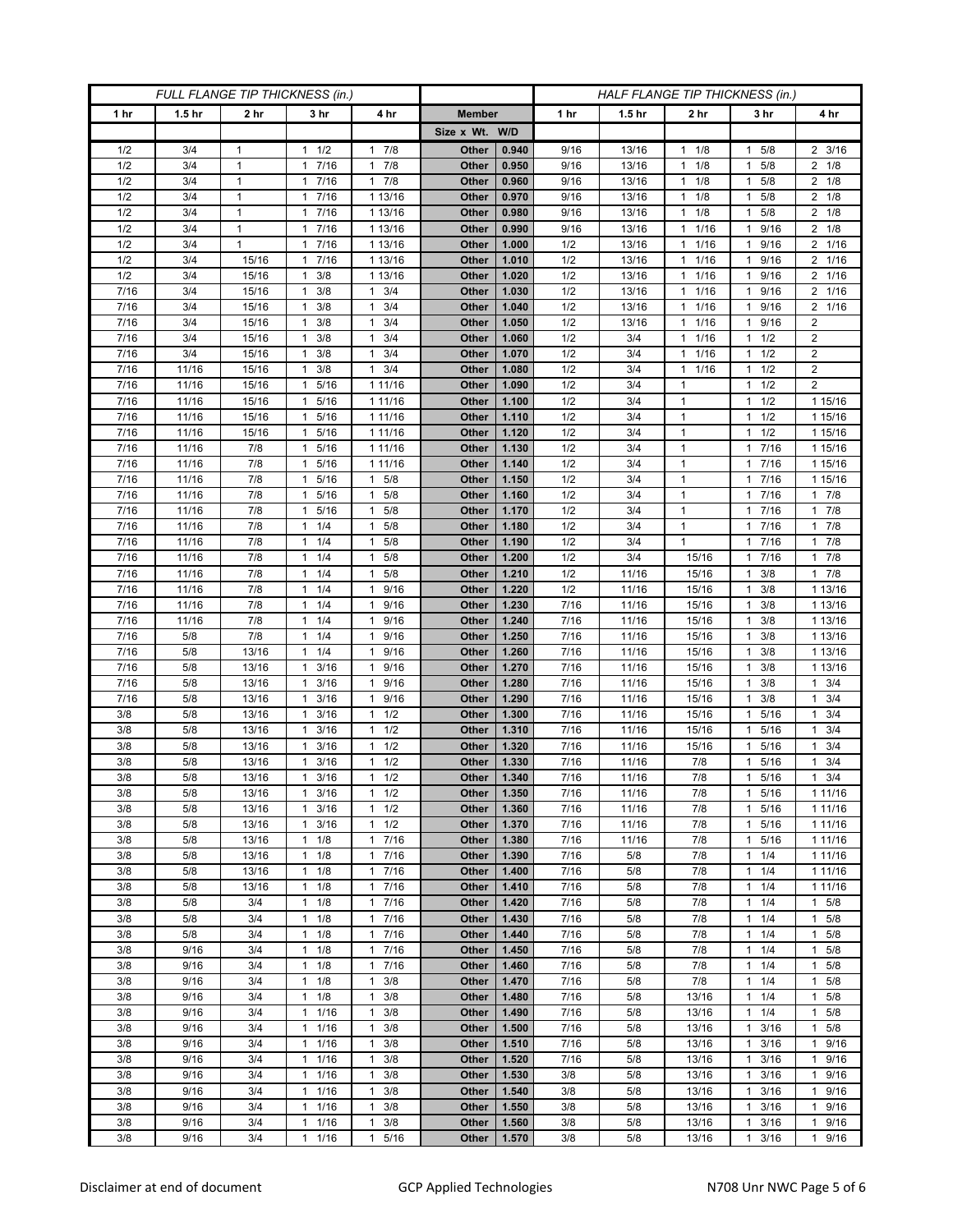| FULL FLANGE TIP THICKNESS (in.) |                   |                 |                                    |                                     | HALF FLANGE TIP THICKNESS (in.) |                |              |                   |                                              |                           |                          |
|---------------------------------|-------------------|-----------------|------------------------------------|-------------------------------------|---------------------------------|----------------|--------------|-------------------|----------------------------------------------|---------------------------|--------------------------|
| 1 hr                            | 1.5 <sub>hr</sub> | 2 <sub>hr</sub> | 3 <sub>hr</sub>                    | 4 hr                                | <b>Member</b>                   |                | 1 hr         | 1.5 <sub>hr</sub> | 2 <sub>hr</sub>                              | 3 hr                      | 4 hr                     |
|                                 |                   |                 |                                    |                                     | Size x Wt. W/D                  |                |              |                   |                                              |                           |                          |
| 1/2                             | 3/4               | 1               | 1/2<br>1                           | 7/8<br>1                            | Other                           | 0.940          | 9/16         | 13/16             | 1/8<br>$\mathbf{1}$                          | 5/8                       | $2 \frac{3}{16}$         |
| 1/2                             | 3/4               | $\mathbf{1}$    | 7/16<br>$\mathbf{1}$               | 7/8<br>$\mathbf{1}$                 | Other                           | 0.950          | 9/16         | 13/16             | 1/8<br>$\mathbf{1}$                          | 5/8<br>1                  | $2 \t1/8$                |
| 1/2                             | 3/4               | $\mathbf{1}$    | 17/16                              | 7/8<br>$\mathbf{1}$                 | Other                           | 0.960          | 9/16         | 13/16             | 1/8<br>$\mathbf{1}$                          | 5/8<br>1                  | $2 \t1/8$                |
| 1/2                             | 3/4               | $\mathbf{1}$    | 7/16<br>1                          | 1 13/16                             | Other                           | 0.970          | 9/16         | 13/16             | 1/8<br>$\mathbf{1}$                          | 5/8<br>1                  | $2 \t1/8$                |
| 1/2                             | 3/4               | $\mathbf{1}$    | 7/16<br>1                          | 1 13/16                             | Other                           | 0.980          | 9/16         | 13/16             | 1/8<br>$\mathbf{1}$                          | 5/8<br>1                  | $2 \t1/8$                |
| 1/2                             | 3/4               | $\mathbf{1}$    | 7/16<br>$\mathbf{1}$               | 1 13/16                             | Other                           | 0.990          | 9/16         | 13/16             | 1/16<br>$\mathbf{1}$                         | 9/16<br>1                 | $2 \t1/8$                |
| 1/2                             | 3/4               | 1               | 7/16<br>1                          | 1 13/16                             | Other                           | 1.000          | 1/2          | 13/16             | 1/16<br>$\mathbf{1}$                         | 9/16<br>1                 | 2 1/16                   |
| 1/2                             | 3/4               | 15/16           | 7/16<br>1                          | 1 13/16                             | Other                           | 1.010          | 1/2          | 13/16             | 1/16<br>$\mathbf{1}$                         | 9/16<br>1                 | 2 1/16                   |
| 1/2                             | 3/4               | 15/16           | 3/8<br>1                           | 1 13/16                             | Other                           | 1.020          | 1/2          | 13/16             | 1/16<br>$\mathbf{1}$                         | 9/16                      | 2 1/16                   |
| 7/16<br>7/16                    | 3/4<br>3/4        | 15/16           | 3/8<br>1                           | 3/4<br>1<br>3/4                     | Other                           | 1.030          | 1/2          | 13/16             | 1/16<br>$\mathbf{1}$                         | 9/16<br>1                 | 2 1/16<br>2 1/16         |
| 7/16                            | 3/4               | 15/16<br>15/16  | 3/8<br>-1<br>3/8<br>1              | $\mathbf{1}$<br>3/4<br>1            | Other<br>Other                  | 1.040<br>1.050 | 1/2<br>1/2   | 13/16<br>13/16    | 1/16<br>$\mathbf{1}$<br>1/16<br>$\mathbf{1}$ | 9/16<br>1<br>9/16         | $\overline{2}$           |
| 7/16                            | 3/4               | 15/16           | 3/8<br>1                           | 3/4<br>1                            | Other                           | 1.060          | 1/2          | 3/4               | 1/16<br>$\mathbf{1}$                         | 1/2<br>1                  | $\overline{2}$           |
| 7/16                            | 3/4               | 15/16           | 3/8<br>1                           | 3/4<br>1                            | Other                           | 1.070          | 1/2          | 3/4               | 1/16<br>$\mathbf{1}$                         | 1/2<br>1                  | $\overline{c}$           |
| 7/16                            | 11/16             | 15/16           | 3/8<br>1                           | 3/4<br>1                            | Other                           | 1.080          | 1/2          | 3/4               | 1/16<br>$\mathbf{1}$                         | 1/2                       | $\overline{2}$           |
| 7/16                            | 11/16             | 15/16           | 5/16<br>1                          | 1 11/16                             | Other                           | 1.090          | 1/2          | 3/4               | $\mathbf{1}$                                 | 1/2<br>1                  | $\overline{2}$           |
| 7/16                            | 11/16             | 15/16           | 5/16<br>$\mathbf{1}$               | 1 11/16                             | Other                           | 1.100          | 1/2          | 3/4               | $\mathbf{1}$                                 | 1/2<br>1                  | 1 15/16                  |
| 7/16                            | 11/16             | 15/16           | 1 5/16                             | 1 11/16                             | Other                           | 1.110          | 1/2          | 3/4               | $\mathbf{1}$                                 | $1 \t1/2$                 | 1 15/16                  |
| 7/16                            | 11/16             | 15/16           | 5/16<br>1                          | 1 11/16                             | Other                           | 1.120          | 1/2          | 3/4               | $\mathbf{1}$                                 | 1/2<br>1                  | 1 15/16                  |
| 7/16                            | 11/16             | 7/8             | 5/16<br>1                          | 1 11/16                             | Other                           | 1.130          | 1/2          | 3/4               | $\mathbf{1}$                                 | 7/16<br>1                 | 1 15/16                  |
| 7/16                            | 11/16             | 7/8             | 5/16<br>$\mathbf{1}$               | 1 11/16                             | Other                           | 1.140          | 1/2          | 3/4               | $\mathbf{1}$                                 | 7/16<br>1                 | 1 15/16                  |
| 7/16                            | 11/16             | 7/8             | 5/16<br>$\mathbf{1}$               | 5/8<br>1                            | Other                           | 1.150          | 1/2          | 3/4               | $\mathbf{1}$                                 | 1 7/16                    | 1 15/16                  |
| 7/16                            | 11/16             | 7/8             | 5/16<br>1                          | 5/8<br>$\mathbf{1}$                 | Other                           | 1.160          | 1/2          | 3/4               | $\mathbf{1}$                                 | 7/16                      | 17/8                     |
| 7/16                            | 11/16             | 7/8             | 5/16<br>$\mathbf{1}$               | 5/8<br>1                            | Other                           | 1.170          | 1/2          | 3/4               | $\mathbf{1}$                                 | 7/16<br>1                 | $1 \t7/8$                |
| 7/16                            | 11/16             | 7/8             | $1 \t1/4$                          | 5/8<br>1                            | Other                           | 1.180          | 1/2          | 3/4               | $\mathbf{1}$                                 | 1 7/16                    | 17/8                     |
| 7/16                            | 11/16             | 7/8             | 1/4<br>1                           | 5/8<br>1                            | Other                           | 1.190          | 1/2          | 3/4               | $\mathbf{1}$                                 | 7/16<br>1                 | 17/8                     |
| 7/16                            | 11/16             | 7/8             | 1/4<br>$\mathbf{1}$                | 5/8<br>$\mathbf{1}$                 | Other                           | 1.200          | 1/2          | 3/4               | 15/16                                        | $7/16$<br>1               | 17/8                     |
| 7/16<br>7/16                    | 11/16<br>11/16    | 7/8<br>7/8      | $1 \t1/4$<br>1/4<br>1              | $\mathbf{1}$<br>5/8<br>9/16<br>1    | Other<br>Other                  | 1.210<br>1.220 | 1/2<br>1/2   | 11/16<br>11/16    | 15/16<br>15/16                               | 3/8<br>1.<br>3/8<br>1     | 17/8<br>1 13/16          |
| 7/16                            | 11/16             | 7/8             | 1/4<br>$\mathbf{1}$                | 9/16<br>$\mathbf{1}$                | Other                           | 1.230          | 7/16         | 11/16             | 15/16                                        | 3/8<br>1                  | 1 13/16                  |
| 7/16                            | 11/16             | 7/8             | 1/4<br>$\mathbf{1}$                | 9/16<br>$\mathbf{1}$                | Other                           | 1.240          | 7/16         | 11/16             | 15/16                                        | 3/8<br>1                  | 1 13/16                  |
| 7/16                            | 5/8               | 7/8             | 1/4<br>1                           | 9/16<br>$\mathbf{1}$                | Other                           | 1.250          | 7/16         | 11/16             | 15/16                                        | 3/8<br>1                  | 1 13/16                  |
| 7/16                            | 5/8               | 13/16           | 1/4<br>1                           | 9/16<br>$\mathbf{1}$                | Other                           | 1.260          | 7/16         | 11/16             | 15/16                                        | 3/8<br>1                  | 1 13/16                  |
| 7/16                            | 5/8               | 13/16           | 3/16<br>1                          | 9/16<br>1                           | Other                           | 1.270          | 7/16         | 11/16             | 15/16                                        | 3/8                       | 1 13/16                  |
| 7/16                            | 5/8               | 13/16           | 3/16<br>1                          | 9/16<br>$\mathbf{1}$                | Other                           | 1.280          | 7/16         | 11/16             | 15/16                                        | 3/8<br>1                  | $1 \t3/4$                |
| 7/16                            | 5/8               | 13/16           | 3/16<br>$\mathbf{1}$               | 9/16<br>$\mathbf{1}$                | Other                           | 1.290          | 7/16         | 11/16             | 15/16                                        | 3/8<br>1                  | $1 \t3/4$                |
| 3/8                             | 5/8               | 13/16           | 3/16<br>1                          | 1/2<br>$\mathbf{1}$                 | Other                           | 1.300          | 7/16         | 11/16             | 15/16                                        | 5/16                      | 3/4<br>$\mathbf{1}$      |
| 3/8                             | 5/8               | 13/16           | 3/16<br>-1                         | 1/2<br>$\mathbf{1}$                 | Other                           | 1.310          | 7/16         | 11/16             | 15/16                                        | 5/16                      | 3/4<br>1                 |
| 3/8                             | 5/8               | 13/16           | 3/16<br>$\mathbf{1}$               | 1/2<br>1                            | Other                           | 1.320          | 7/16         | 11/16             | 15/16                                        | 5/16<br>1                 | $1 \t3/4$                |
| 3/8                             | 5/8               | 13/16           | 3/16<br>1                          | 1/2<br>1                            | Other                           | 1.330          | 7/16         | 11/16             | 7/8                                          | 5/16                      | 3/4<br>$\mathbf{1}$      |
| 3/8                             | 5/8               | 13/16           | 3/16<br>$\mathbf{1}$               | 1/2<br>$\mathbf{1}$                 | Other                           | 1.340          | 7/16         | 11/16             | 7/8                                          | 5/16<br>$\mathbf{1}$      | 3/4<br>$\mathbf{1}$      |
| 3/8                             | 5/8               | 13/16           | $1 \t3/16$                         | 1/2<br>$\mathbf{1}$<br>$\mathbf{1}$ | Other                           | 1.350          | 7/16         | 11/16             | 7/8                                          | 5/16<br>$\mathbf{1}$<br>1 | 1 1 1 / 1 6              |
| 3/8<br>3/8                      | 5/8<br>5/8        | 13/16<br>13/16  | $1 \t3/16$<br>3/16<br>$\mathbf{1}$ | 1/2<br>1/2<br>1                     | Other<br>Other                  | 1.360<br>1.370 | 7/16<br>7/16 | 11/16<br>11/16    | 7/8<br>7/8                                   | 5/16<br>5/16<br>1         | 1 1 1 / 16<br>1 1 1 / 16 |
| 3/8                             | 5/8               | 13/16           | 1/8<br>$\mathbf{1}$                | 7/16<br>$\mathbf{1}$                | Other                           | 1.380          | 7/16         | 11/16             | 7/8                                          | 5/16<br>1                 | 1 1 1 / 16               |
| 3/8                             | 5/8               | 13/16           | $1 \t1/8$                          | 7/16<br>$\mathbf{1}$                | Other                           | 1.390          | 7/16         | 5/8               | 7/8                                          | 1/4<br>1                  | 1 11/16                  |
| 3/8                             | 5/8               | 13/16           | $1 \t1/8$                          | 7/16<br>1                           | Other                           | 1.400          | 7/16         | 5/8               | 7/8                                          | $1 \t1/4$                 | 1 11/16                  |
| 3/8                             | 5/8               | 13/16           | 1/8<br>1                           | 7/16<br>$\mathbf{1}$                | Other                           | 1.410          | 7/16         | 5/8               | 7/8                                          | 1/4                       | 1 11/16                  |
| 3/8                             | 5/8               | 3/4             | $1 \t1/8$                          | 7/16<br>$\mathbf{1}$                | Other                           | 1.420          | 7/16         | 5/8               | 7/8                                          | 1/4<br>$\mathbf{1}$       | $1 \t5/8$                |
| 3/8                             | 5/8               | 3/4             | $1 \t1/8$                          | 7/16<br>1                           | Other                           | 1.430          | 7/16         | 5/8               | 7/8                                          | $1 \t1/4$                 | $1 \t5/8$                |
| 3/8                             | 5/8               | 3/4             | 1/8<br>1                           | 7/16<br>$\mathbf{1}$                | Other                           | 1.440          | 7/16         | 5/8               | 7/8                                          | 1/4<br>1                  | $1 \t5/8$                |
| 3/8                             | 9/16              | 3/4             | $1 \t1/8$                          | 7/16<br>$\mathbf{1}$                | Other                           | 1.450          | 7/16         | 5/8               | 7/8                                          | 1/4<br>$\mathbf{1}$       | 1 5/8                    |
| 3/8                             | 9/16              | 3/4             | $1 \t1/8$                          | 7/16<br>$\mathbf{1}$                | Other                           | 1.460          | 7/16         | 5/8               | 7/8                                          | $1 \t1/4$                 | 1 5/8                    |
| 3/8                             | 9/16              | 3/4             | 1/8<br>1                           | 3/8<br>$\mathbf{1}$                 | Other                           | 1.470          | 7/16         | 5/8               | 7/8                                          | 1/4<br>1                  | $1 \t5/8$                |
| 3/8                             | 9/16              | 3/4             | 1/8<br>1                           | 3/8<br>$\mathbf{1}$                 | Other                           | 1.480          | 7/16         | 5/8               | 13/16                                        | 1/4<br>1                  | 1 5/8                    |
| 3/8                             | 9/16              | 3/4             | $\mathbf{1}$<br>1/16               | 3/8<br>$\mathbf{1}$                 | Other                           | 1.490          | 7/16         | 5/8               | 13/16                                        | $1 \t1/4$                 | 1 5/8                    |
| 3/8                             | 9/16              | 3/4             | 1/16<br>$\mathbf{1}$               | 3/8<br>1                            | Other                           | 1.500          | 7/16         | 5/8               | 13/16                                        | 3/16<br>$\mathbf{1}$      | 1 5/8                    |
| 3/8                             | 9/16              | 3/4             | $\mathbf{1}$<br>1/16               | 3/8<br>1                            | Other                           | 1.510          | 7/16         | 5/8               | 13/16                                        | 3/16<br>1                 | 1 9/16                   |
| 3/8<br>3/8                      | 9/16<br>9/16      | 3/4<br>3/4      | 11/16<br>1/16<br>$\mathbf{1}$      | $\mathbf{1}$<br>3/8<br>3/8<br>1     | Other<br>Other                  | 1.520<br>1.530 | 7/16<br>3/8  | 5/8<br>5/8        | 13/16<br>13/16                               | 3/16<br>1<br>3/16<br>1    | 1 9/16<br>1 9/16         |
| 3/8                             | 9/16              | 3/4             | 1/16<br>$\mathbf{1}$               | 3/8<br>1                            | Other                           | 1.540          | 3/8          | 5/8               | 13/16                                        | 3/16<br>1                 | 1 9/16                   |
| 3/8                             | 9/16              | 3/4             | $\mathbf{1}$<br>1/16               | 3/8<br>1                            | Other                           | 1.550          | 3/8          | 5/8               | 13/16                                        | 3/16<br>1                 | 1 9/16                   |
| 3/8                             | 9/16              | 3/4             | 1/16<br>$\mathbf{1}$               | 3/8<br>1                            | Other                           | 1.560          | 3/8          | 5/8               | 13/16                                        | 3/16<br>1                 | 1 9/16                   |
| 3/8                             | 9/16              | 3/4             | $\mathbf{1}$<br>1/16               | $5/16$<br>$\mathbf{1}$              | Other                           | 1.570          | 3/8          | 5/8               | 13/16                                        | 3/16<br>1                 | 1 9/16                   |
|                                 |                   |                 |                                    |                                     |                                 |                |              |                   |                                              |                           |                          |